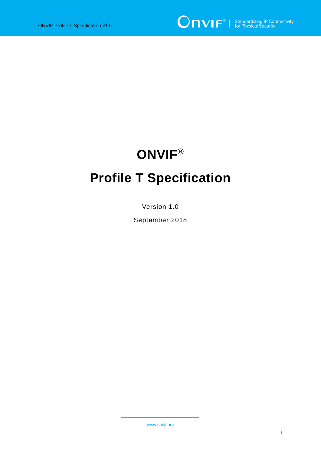# **ONVIF**® **Profile T Specification**

Version 1.0

September 2018

www.onvif.org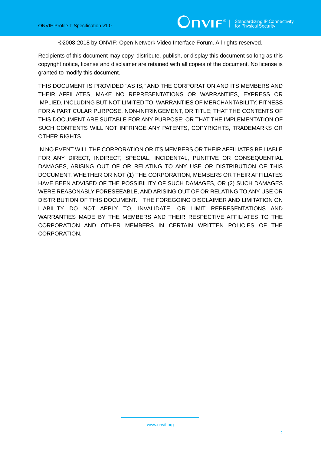#### ©2008-2018 by ONVIF: Open Network Video Interface Forum. All rights reserved.

Recipients of this document may copy, distribute, publish, or display this document so long as this copyright notice, license and disclaimer are retained with all copies of the document. No license is granted to modify this document.

THIS DOCUMENT IS PROVIDED "AS IS," AND THE CORPORATION AND ITS MEMBERS AND THEIR AFFILIATES, MAKE NO REPRESENTATIONS OR WARRANTIES, EXPRESS OR IMPLIED, INCLUDING BUT NOT LIMITED TO, WARRANTIES OF MERCHANTABILITY, FITNESS FOR A PARTICULAR PURPOSE, NON-INFRINGEMENT, OR TITLE; THAT THE CONTENTS OF THIS DOCUMENT ARE SUITABLE FOR ANY PURPOSE; OR THAT THE IMPLEMENTATION OF SUCH CONTENTS WILL NOT INFRINGE ANY PATENTS, COPYRIGHTS, TRADEMARKS OR OTHER RIGHTS.

IN NO EVENT WILL THE CORPORATION OR ITS MEMBERS OR THEIR AFFILIATES BE LIABLE FOR ANY DIRECT, INDIRECT, SPECIAL, INCIDENTAL, PUNITIVE OR CONSEQUENTIAL DAMAGES, ARISING OUT OF OR RELATING TO ANY USE OR DISTRIBUTION OF THIS DOCUMENT, WHETHER OR NOT (1) THE CORPORATION, MEMBERS OR THEIR AFFILIATES HAVE BEEN ADVISED OF THE POSSIBILITY OF SUCH DAMAGES, OR (2) SUCH DAMAGES WERE REASONABLY FORESEEABLE, AND ARISING OUT OF OR RELATING TO ANY USE OR DISTRIBUTION OF THIS DOCUMENT. THE FOREGOING DISCLAIMER AND LIMITATION ON LIABILITY DO NOT APPLY TO, INVALIDATE, OR LIMIT REPRESENTATIONS AND WARRANTIES MADE BY THE MEMBERS AND THEIR RESPECTIVE AFFILIATES TO THE CORPORATION AND OTHER MEMBERS IN CERTAIN WRITTEN POLICIES OF THE CORPORATION.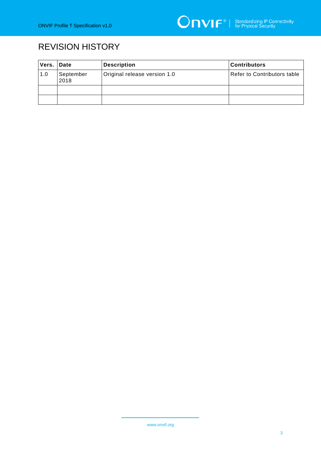# REVISION HISTORY

| Vers. | <b>Date</b>                                       | <b>Description</b> | l Contributors              |
|-------|---------------------------------------------------|--------------------|-----------------------------|
| 1.0   | Original release version 1.0<br>September<br>2018 |                    | Refer to Contributors table |
|       |                                                   |                    |                             |
|       |                                                   |                    |                             |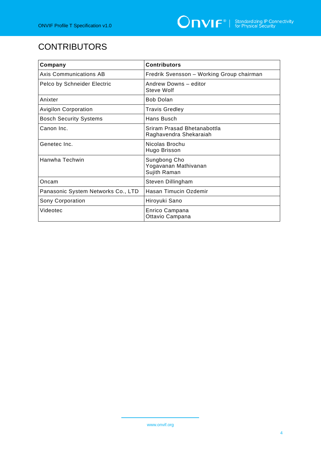# **CONTRIBUTORS**

| Company                            | <b>Contributors</b>                                   |
|------------------------------------|-------------------------------------------------------|
| <b>Axis Communications AB</b>      | Fredrik Svensson - Working Group chairman             |
| Pelco by Schneider Electric        | Andrew Downs - editor<br>Steve Wolf                   |
| Anixter                            | <b>Bob Dolan</b>                                      |
| <b>Avigilon Corporation</b>        | <b>Travis Gredley</b>                                 |
| <b>Bosch Security Systems</b>      | Hans Busch                                            |
| Canon Inc.                         | Sriram Prasad Bhetanabottla<br>Raghavendra Shekaraiah |
| Genetec Inc.                       | Nicolas Brochu<br>Hugo Brisson                        |
| Hanwha Techwin                     | Sungbong Cho<br>Yogavanan Mathivanan<br>Sujith Raman  |
| Oncam                              | Steven Dillingham                                     |
| Panasonic System Networks Co., LTD | Hasan Timucin Ozdemir                                 |
| Sony Corporation                   | Hiroyuki Sano                                         |
| Videotec                           | Enrico Campana<br>Ottavio Campana                     |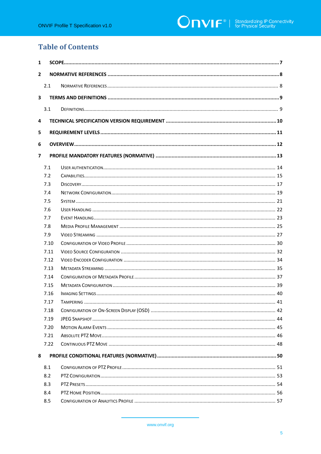### **Table of Contents**

| 1                        |      |  |  |  |
|--------------------------|------|--|--|--|
| $\overline{2}$           |      |  |  |  |
|                          | 2.1  |  |  |  |
| 3                        |      |  |  |  |
|                          | 3.1  |  |  |  |
| 4                        |      |  |  |  |
| 5                        |      |  |  |  |
| 6                        |      |  |  |  |
| $\overline{\phantom{a}}$ |      |  |  |  |
|                          | 7.1  |  |  |  |
|                          | 7.2  |  |  |  |
|                          | 7.3  |  |  |  |
|                          | 7.4  |  |  |  |
|                          | 7.5  |  |  |  |
|                          | 7.6  |  |  |  |
|                          | 7.7  |  |  |  |
|                          | 7.8  |  |  |  |
|                          | 7.9  |  |  |  |
|                          | 7.10 |  |  |  |
|                          | 7.11 |  |  |  |
|                          | 7.12 |  |  |  |
|                          | 7.13 |  |  |  |
|                          | 7.14 |  |  |  |
|                          | 7.15 |  |  |  |
|                          | 7.16 |  |  |  |
|                          | 7.17 |  |  |  |
|                          | 7.18 |  |  |  |
|                          | 7.19 |  |  |  |
|                          | 7.20 |  |  |  |
|                          | 7.21 |  |  |  |
|                          | 7.22 |  |  |  |
| 8                        |      |  |  |  |
|                          | 8.1  |  |  |  |
|                          | 8.2  |  |  |  |
|                          | 8.3  |  |  |  |
|                          | 8.4  |  |  |  |
|                          | 8.5  |  |  |  |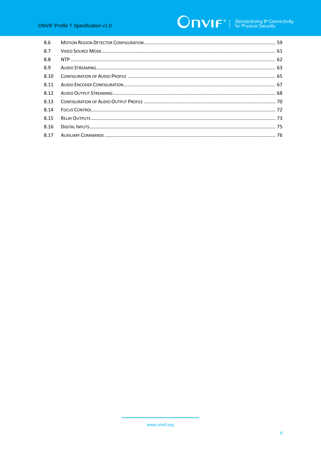# **ONVIF**<sup>®</sup> | Standardizing IP Connectivity

| 8.6  |  |
|------|--|
| 8.7  |  |
| 8.8  |  |
| 8.9  |  |
| 8.10 |  |
| 8.11 |  |
| 8.12 |  |
| 8.13 |  |
| 8.14 |  |
| 8.15 |  |
| 8.16 |  |
| 8.17 |  |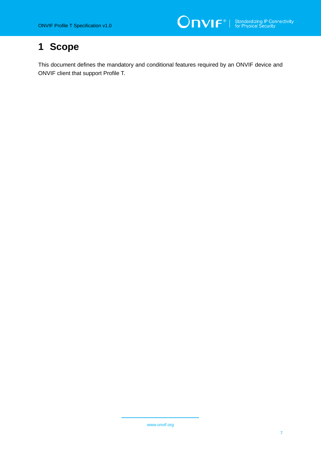# <span id="page-6-0"></span>**1 Scope**

This document defines the mandatory and conditional features required by an ONVIF device and ONVIF client that support Profile T.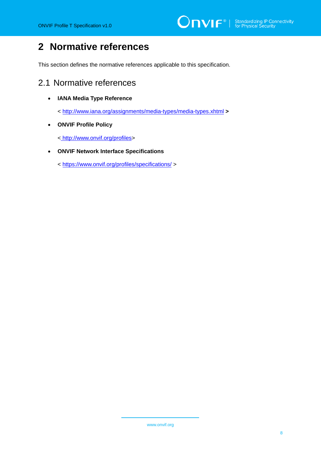# <span id="page-7-0"></span>**2 Normative references**

This section defines the normative references applicable to this specification.

### <span id="page-7-1"></span>2.1 Normative references

• **IANA Media Type Reference**

<<http://www.iana.org/assignments/media-types/media-types.xhtml> **>**

• **ONVIF Profile Policy**

< [http://www.onvif.org/profiles>](http://www.onvif.org/profiles)

• **ONVIF Network Interface Specifications**

<<https://www.onvif.org/profiles/specifications/> >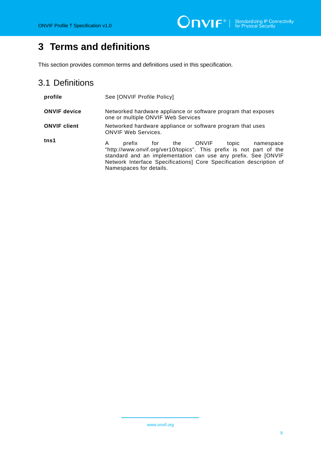# <span id="page-8-0"></span>**3 Terms and definitions**

This section provides common terms and definitions used in this specification.

# <span id="page-8-1"></span>3.1 Definitions

| profile             | See [ONVIF Profile Policy]                                                                                                                                                                                                                                                          |  |  |
|---------------------|-------------------------------------------------------------------------------------------------------------------------------------------------------------------------------------------------------------------------------------------------------------------------------------|--|--|
| <b>ONVIF device</b> | Networked hardware appliance or software program that exposes<br>one or multiple ONVIF Web Services                                                                                                                                                                                 |  |  |
| <b>ONVIF client</b> | Networked hardware appliance or software program that uses<br><b>ONVIF Web Services.</b>                                                                                                                                                                                            |  |  |
| tns1                | prefix for the ONVIF topic namespace<br>A<br>"http://www.onvif.org/ver10/topics". This prefix is not part of the<br>standard and an implementation can use any prefix. See JONVIF<br>Network Interface Specifications] Core Specification description of<br>Namespaces for details. |  |  |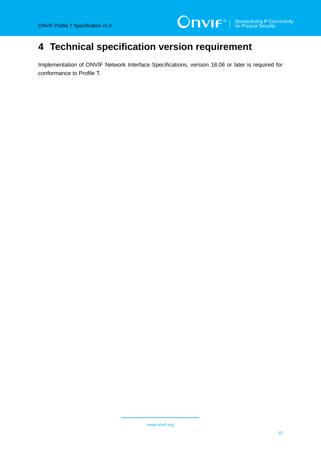# <span id="page-9-0"></span>**4 Technical specification version requirement**

Implementation of ONVIF Network Interface Specifications, version 18.06 or later is required for conformance to Profile T.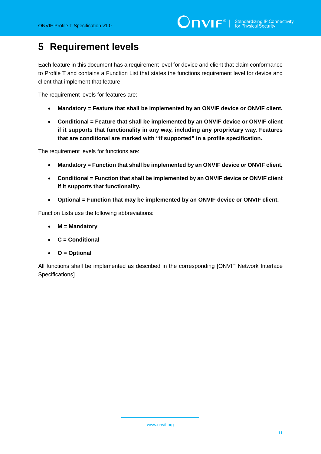# <span id="page-10-0"></span>**5 Requirement levels**

Each feature in this document has a requirement level for device and client that claim conformance to Profile T and contains a Function List that states the functions requirement level for device and client that implement that feature.

The requirement levels for features are:

- **Mandatory = Feature that shall be implemented by an ONVIF device or ONVIF client.**
- **Conditional = Feature that shall be implemented by an ONVIF device or ONVIF client if it supports that functionality in any way, including any proprietary way. Features that are conditional are marked with "if supported" in a profile specification.**

The requirement levels for functions are:

- **Mandatory = Function that shall be implemented by an ONVIF device or ONVIF client.**
- **Conditional = Function that shall be implemented by an ONVIF device or ONVIF client if it supports that functionality.**
- **Optional = Function that may be implemented by an ONVIF device or ONVIF client.**

Function Lists use the following abbreviations:

- **M = Mandatory**
- **C = Conditional**
- **O = Optional**

All functions shall be implemented as described in the corresponding [ONVIF Network Interface Specifications].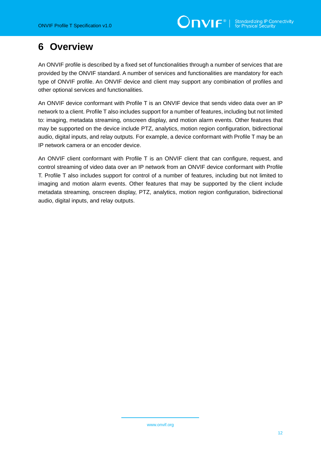# <span id="page-11-0"></span>**6 Overview**

An ONVIF profile is described by a fixed set of functionalities through a number of services that are provided by the ONVIF standard. A number of services and functionalities are mandatory for each type of ONVIF profile. An ONVIF device and client may support any combination of profiles and other optional services and functionalities.

An ONVIF device conformant with Profile T is an ONVIF device that sends video data over an IP network to a client. Profile T also includes support for a number of features, including but not limited to: imaging, metadata streaming, onscreen display, and motion alarm events. Other features that may be supported on the device include PTZ, analytics, motion region configuration, bidirectional audio, digital inputs, and relay outputs. For example, a device conformant with Profile T may be an IP network camera or an encoder device.

An ONVIF client conformant with Profile T is an ONVIF client that can configure, request, and control streaming of video data over an IP network from an ONVIF device conformant with Profile T. Profile T also includes support for control of a number of features, including but not limited to imaging and motion alarm events. Other features that may be supported by the client include metadata streaming, onscreen display, PTZ, analytics, motion region configuration, bidirectional audio, digital inputs, and relay outputs.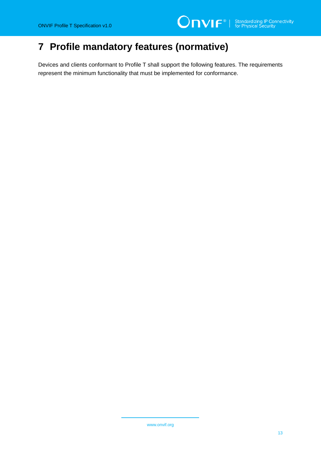# <span id="page-12-0"></span>**7 Profile mandatory features (normative)**

Devices and clients conformant to Profile T shall support the following features. The requirements represent the minimum functionality that must be implemented for conformance.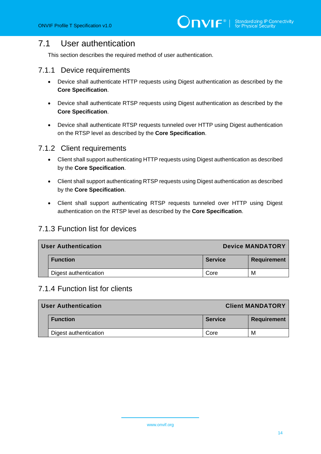## <span id="page-13-0"></span>7.1 User authentication

This section describes the required method of user authentication.

#### 7.1.1 Device requirements

- Device shall authenticate HTTP requests using Digest authentication as described by the **Core Specification**.
- Device shall authenticate RTSP requests using Digest authentication as described by the **Core Specification**.
- Device shall authenticate RTSP requests tunneled over HTTP using Digest authentication on the RTSP level as described by the **Core Specification**.

#### 7.1.2 Client requirements

- Client shall support authenticating HTTP requests using Digest authentication as described by the **Core Specification**.
- Client shall support authenticating RTSP requests using Digest authentication as described by the **Core Specification**.
- Client shall support authenticating RTSP requests tunneled over HTTP using Digest authentication on the RTSP level as described by the **Core Specification**.

#### 7.1.3 Function list for devices

| <b>User Authentication</b> |                       | <b>Device MANDATORY</b> |                    |  |
|----------------------------|-----------------------|-------------------------|--------------------|--|
|                            | <b>Function</b>       | <b>Service</b>          | <b>Requirement</b> |  |
|                            | Digest authentication | Core                    | м                  |  |

#### 7.1.4 Function list for clients

| User Authentication   | <b>Client MANDATORY</b> |                    |  |
|-----------------------|-------------------------|--------------------|--|
| <b>Function</b>       | <b>Service</b>          | <b>Requirement</b> |  |
| Digest authentication | Core                    | M                  |  |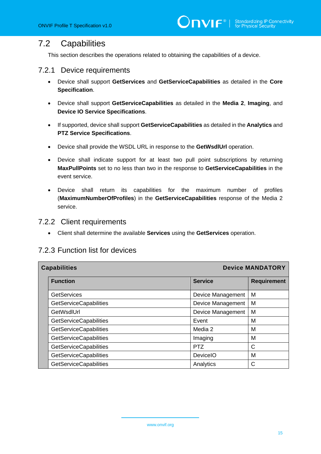#### <span id="page-14-0"></span>7.2 Capabilities

This section describes the operations related to obtaining the capabilities of a device.

#### 7.2.1 Device requirements

- Device shall support **GetServices** and **GetServiceCapabilities** as detailed in the **Core Specification**.
- Device shall support **GetServiceCapabilities** as detailed in the **Media 2**, **Imaging**, and **Device IO Service Specifications**.
- If supported, device shall support **GetServiceCapabilities** as detailed in the **Analytics** and **PTZ Service Specifications**.
- Device shall provide the WSDL URL in response to the **GetWsdlUrl** operation.
- Device shall indicate support for at least two pull point subscriptions by returning **MaxPullPoints** set to no less than two in the response to **GetServiceCapabilities** in the event service.
- Device shall return its capabilities for the maximum number of profiles (**MaximumNumberOfProfiles**) in the **GetServiceCapabilities** response of the Media 2 service.

#### 7.2.2 Client requirements

• Client shall determine the available **Services** using the **GetServices** operation.

#### 7.2.3 Function list for devices

| <b>Capabilities</b> |                               | <b>Device MANDATORY</b> |                    |  |
|---------------------|-------------------------------|-------------------------|--------------------|--|
|                     | <b>Function</b>               | <b>Service</b>          | <b>Requirement</b> |  |
|                     | <b>GetServices</b>            | Device Management       | M                  |  |
|                     | <b>GetServiceCapabilities</b> | Device Management       | M                  |  |
|                     | GetWsdlUrl                    | Device Management       | M                  |  |
|                     | <b>GetServiceCapabilities</b> | Event                   | M                  |  |
|                     | <b>GetServiceCapabilities</b> | Media 2                 | M                  |  |
|                     | GetServiceCapabilities        | Imaging                 | M                  |  |
|                     | <b>GetServiceCapabilities</b> | <b>PTZ</b>              | $\mathsf{C}$       |  |
|                     | <b>GetServiceCapabilities</b> | <b>DeviceIO</b>         | M                  |  |
|                     | <b>GetServiceCapabilities</b> | Analytics               | C                  |  |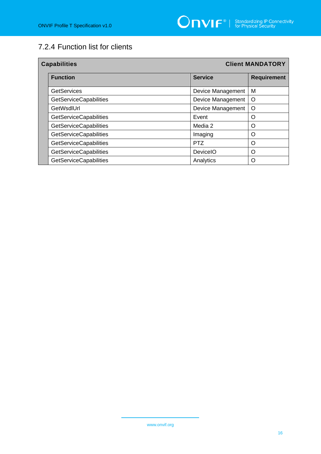# 7.2.4 Function list for clients

| <b>Capabilities</b> |                               | <b>Client MANDATORY</b>  |                    |  |
|---------------------|-------------------------------|--------------------------|--------------------|--|
|                     | <b>Function</b>               | <b>Service</b>           | <b>Requirement</b> |  |
|                     | <b>GetServices</b>            | <b>Device Management</b> | M                  |  |
|                     | <b>GetServiceCapabilities</b> | Device Management        | O                  |  |
|                     | GetWsdlUrl                    | Device Management        | O                  |  |
|                     | GetServiceCapabilities        | Event                    | O                  |  |
|                     | GetServiceCapabilities        | Media 2                  | O                  |  |
|                     | GetServiceCapabilities        | Imaging                  | O                  |  |
|                     | GetServiceCapabilities        | PTZ                      | O                  |  |
|                     | GetServiceCapabilities        | <b>DeviceIO</b>          | O                  |  |
|                     | <b>GetServiceCapabilities</b> | Analytics                | Ω                  |  |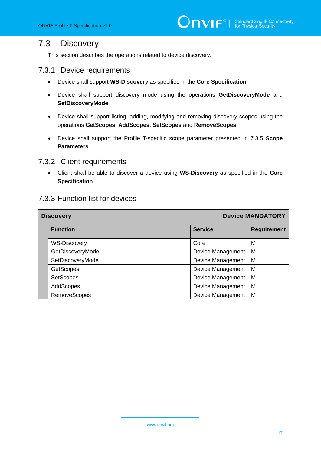#### <span id="page-16-0"></span>7.3 Discovery

This section describes the operations related to device discovery.

#### 7.3.1 Device requirements

- Device shall support **WS-Discovery** as specified in the **Core Specification**.
- Device shall support discovery mode using the operations **GetDiscoveryMode** and **SetDiscoveryMode**.
- Device shall support listing, adding, modifying and removing discovery scopes using the operations **GetScopes**, **AddScopes**, **SetScopes** and **RemoveScopes**
- Device shall support the Profile T-specific scope parameter presented in 7.3.5 **Scope Parameters**.

#### 7.3.2 Client requirements

• Client shall be able to discover a device using **WS-Discovery** as specified in the **Core Specification**.

#### 7.3.3 Function list for devices

| <b>Discovery</b> |                     |                   | <b>Device MANDATORY</b> |  |  |
|------------------|---------------------|-------------------|-------------------------|--|--|
|                  | <b>Function</b>     | <b>Service</b>    | <b>Requirement</b>      |  |  |
|                  | <b>WS-Discovery</b> | Core              | M                       |  |  |
|                  | GetDiscoveryMode    | Device Management | M                       |  |  |
|                  | SetDiscoveryMode    | Device Management | M                       |  |  |
|                  | <b>GetScopes</b>    | Device Management | M                       |  |  |
|                  | <b>SetScopes</b>    | Device Management | M                       |  |  |
|                  | AddScopes           | Device Management | M                       |  |  |
|                  | <b>RemoveScopes</b> | Device Management | M                       |  |  |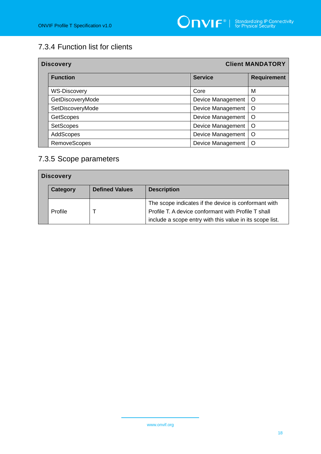# 7.3.4 Function list for clients

| <b>Discovery</b>    | <b>Client MANDATORY</b> |                    |  |
|---------------------|-------------------------|--------------------|--|
| <b>Function</b>     | <b>Service</b>          | <b>Requirement</b> |  |
| <b>WS-Discovery</b> | Core                    | M                  |  |
| GetDiscoveryMode    | Device Management       | O                  |  |
| SetDiscoveryMode    | Device Management       | O                  |  |
| <b>GetScopes</b>    | Device Management       | $\circ$            |  |
| <b>SetScopes</b>    | Device Management       | O                  |  |
| AddScopes           | Device Management       | $\Omega$           |  |
| <b>RemoveScopes</b> | Device Management       | O                  |  |

# 7.3.5 Scope parameters

| <b>Discovery</b> |          |                       |                                                          |
|------------------|----------|-----------------------|----------------------------------------------------------|
|                  | Category | <b>Defined Values</b> | <b>Description</b>                                       |
|                  |          |                       | The scope indicates if the device is conformant with     |
|                  | Profile  |                       | Profile T. A device conformant with Profile T shall      |
|                  |          |                       | include a scope entry with this value in its scope list. |

www.onvif.org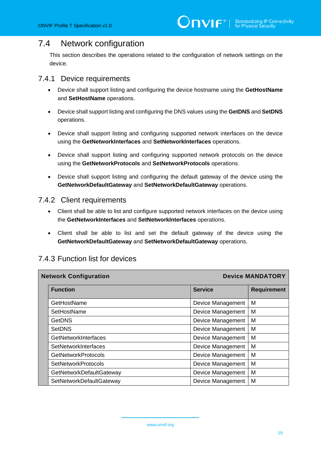# <span id="page-18-0"></span>7.4 Network configuration

This section describes the operations related to the configuration of network settings on the device.

#### 7.4.1 Device requirements

- Device shall support listing and configuring the device hostname using the **GetHostName** and **SetHostName** operations.
- Device shall support listing and configuring the DNS values using the **GetDNS** and **SetDNS** operations.
- Device shall support listing and configuring supported network interfaces on the device using the **GetNetworkInterfaces** and **SetNetworkInterfaces** operations.
- Device shall support listing and configuring supported network protocols on the device using the **GetNetworkProtocols** and **SetNetworkProtocols** operations.
- Device shall support listing and configuring the default gateway of the device using the **GetNetworkDefaultGateway** and **SetNetworkDefaultGateway** operations.

#### 7.4.2 Client requirements

- Client shall be able to list and configure supported network interfaces on the device using the **GetNetworkInterfaces** and **SetNetworkInterfaces** operations.
- Client shall be able to list and set the default gateway of the device using the **GetNetworkDefaultGateway** and **SetNetworkDefaultGateway** operations.

|                            | <b>Device MANDATORY</b><br><b>Network Configuration</b> |                   |                    |  |  |
|----------------------------|---------------------------------------------------------|-------------------|--------------------|--|--|
|                            | <b>Function</b>                                         | <b>Service</b>    | <b>Requirement</b> |  |  |
|                            | GetHostName                                             | Device Management | M                  |  |  |
|                            | SetHostName                                             | Device Management | M                  |  |  |
|                            | <b>GetDNS</b>                                           | Device Management | M                  |  |  |
|                            | <b>SetDNS</b>                                           | Device Management | M                  |  |  |
|                            | GetNetworkInterfaces                                    | Device Management |                    |  |  |
|                            | SetNetworkInterfaces                                    | Device Management | M                  |  |  |
|                            | <b>GetNetworkProtocols</b>                              | Device Management | M                  |  |  |
| <b>SetNetworkProtocols</b> |                                                         | Device Management | M                  |  |  |
|                            | GetNetworkDefaultGateway                                | Device Management | M                  |  |  |
|                            | SetNetworkDefaultGateway                                | Device Management | M                  |  |  |

#### 7.4.3 Function list for devices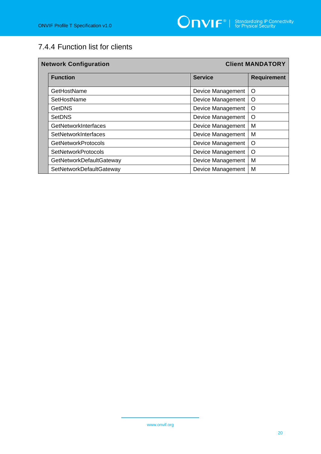# 7.4.4 Function list for clients

| <b>Network Configuration</b> |                                   |                          | <b>Client MANDATORY</b> |  |
|------------------------------|-----------------------------------|--------------------------|-------------------------|--|
|                              | <b>Function</b><br><b>Service</b> |                          | <b>Requirement</b>      |  |
|                              | GetHostName                       | Device Management        | O                       |  |
|                              | SetHostName                       | Device Management        | O                       |  |
|                              | <b>GetDNS</b>                     | Device Management        | O                       |  |
|                              | <b>SetDNS</b>                     | Device Management        | O                       |  |
|                              | GetNetworkInterfaces              | Device Management        | M                       |  |
|                              | SetNetworkInterfaces              | Device Management        | M                       |  |
|                              | <b>GetNetworkProtocols</b>        | <b>Device Management</b> | $\circ$                 |  |
|                              | <b>SetNetworkProtocols</b>        | Device Management        | O                       |  |
|                              | GetNetworkDefaultGateway          | Device Management        | M                       |  |
|                              | SetNetworkDefaultGateway          | Device Management        | M                       |  |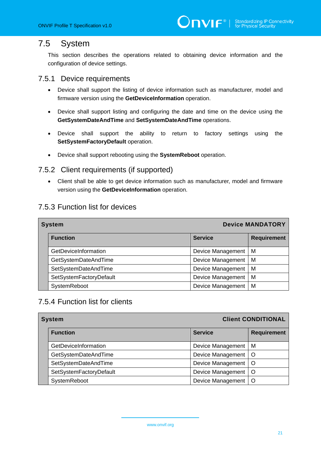## <span id="page-20-0"></span>7.5 System

This section describes the operations related to obtaining device information and the configuration of device settings.

#### 7.5.1 Device requirements

- Device shall support the listing of device information such as manufacturer, model and firmware version using the **GetDeviceInformation** operation.
- Device shall support listing and configuring the date and time on the device using the **GetSystemDateAndTime** and **SetSystemDateAndTime** operations.
- Device shall support the ability to return to factory settings using the **SetSystemFactoryDefault** operation.
- Device shall support rebooting using the **SystemReboot** operation.

#### 7.5.2 Client requirements (if supported)

• Client shall be able to get device information such as manufacturer, model and firmware version using the **GetDeviceInformation** operation.

#### 7.5.3 Function list for devices

| <b>Device MANDATORY</b><br><b>System</b> |                         |                   |                    |
|------------------------------------------|-------------------------|-------------------|--------------------|
|                                          | <b>Function</b>         | <b>Service</b>    | <b>Requirement</b> |
|                                          | GetDeviceInformation    | Device Management | M                  |
|                                          | GetSystemDateAndTime    | Device Management | M                  |
|                                          | SetSystemDateAndTime    | Device Management | M                  |
|                                          | SetSystemFactoryDefault | Device Management | M                  |
|                                          | SystemReboot            | Device Management | M                  |

#### 7.5.4 Function list for clients

|                                              | <b>System</b>           | <b>Client CONDITIONAL</b> |                    |  |
|----------------------------------------------|-------------------------|---------------------------|--------------------|--|
|                                              | <b>Function</b>         | <b>Service</b>            | <b>Requirement</b> |  |
|                                              | GetDeviceInformation    | Device Management         | M                  |  |
| GetSystemDateAndTime<br>SetSystemDateAndTime |                         | Device Management         | $\circ$            |  |
|                                              |                         | Device Management         | $\circ$            |  |
|                                              | SetSystemFactoryDefault | Device Management         | $\circ$            |  |
|                                              | SystemReboot            | Device Management         | $\circ$            |  |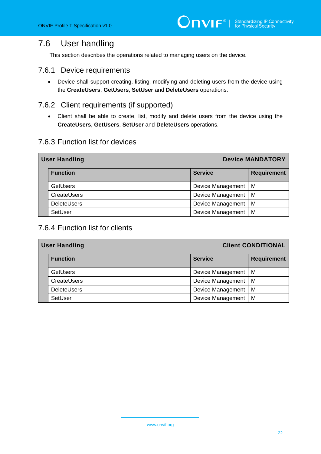### <span id="page-21-0"></span>7.6 User handling

This section describes the operations related to managing users on the device.

#### 7.6.1 Device requirements

• Device shall support creating, listing, modifying and deleting users from the device using the **CreateUsers**, **GetUsers**, **SetUser** and **DeleteUsers** operations.

#### 7.6.2 Client requirements (if supported)

• Client shall be able to create, list, modify and delete users from the device using the **CreateUsers**, **GetUsers**, **SetUser** and **DeleteUsers** operations.

#### 7.6.3 Function list for devices

| <b>Device MANDATORY</b><br><b>User Handling</b> |                          |                    |
|-------------------------------------------------|--------------------------|--------------------|
| <b>Function</b>                                 | <b>Service</b>           | <b>Requirement</b> |
| <b>GetUsers</b>                                 | Device Management        | M                  |
| CreateUsers                                     | Device Management        | M                  |
| <b>DeleteUsers</b>                              | Device Management        | M                  |
| SetUser                                         | <b>Device Management</b> | M                  |

#### 7.6.4 Function list for clients

| <b>Client CONDITIONAL</b><br><b>User Handling</b> |                    |                       |                    |
|---------------------------------------------------|--------------------|-----------------------|--------------------|
|                                                   | <b>Function</b>    | <b>Service</b>        | <b>Requirement</b> |
|                                                   | <b>GetUsers</b>    | Device Management   M |                    |
|                                                   | CreateUsers        | Device Management   M |                    |
|                                                   | <b>DeleteUsers</b> | Device Management   M |                    |
|                                                   | SetUser            | Device Management     | M                  |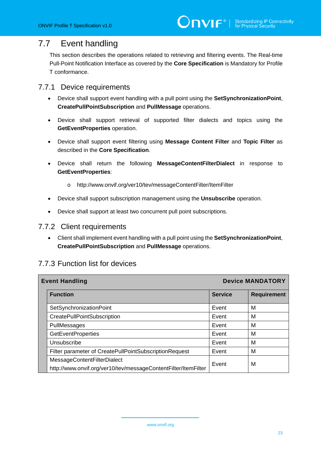# <span id="page-22-0"></span>7.7 Event handling

This section describes the operations related to retrieving and filtering events. The Real-time Pull-Point Notification Interface as covered by the **Core Specification** is Mandatory for Profile T conformance.

#### 7.7.1 Device requirements

- Device shall support event handling with a pull point using the **SetSynchronizationPoint**, **CreatePullPointSubscription** and **PullMessage** operations.
- Device shall support retrieval of supported filter dialects and topics using the **GetEventProperties** operation.
- Device shall support event filtering using **Message Content Filter** and **Topic Filter** as described in the **Core Specification**.
- Device shall return the following **MessageContentFilterDialect** in response to **GetEventProperties**:
	- o http://www.onvif.org/ver10/tev/messageContentFilter/ItemFilter
- Device shall support subscription management using the **Unsubscribe** operation.
- Device shall support at least two concurrent pull point subscriptions.

#### 7.7.2 Client requirements

• Client shall implement event handling with a pull point using the **SetSynchronizationPoint**, **CreatePullPointSubscription** and **PullMessage** operations.

#### 7.7.3 Function list for devices

| <b>Event Handling</b>                                                                         |                | <b>Device MANDATORY</b> |  |
|-----------------------------------------------------------------------------------------------|----------------|-------------------------|--|
| <b>Function</b>                                                                               | <b>Service</b> | <b>Requirement</b>      |  |
| SetSynchronizationPoint                                                                       | Event          | M                       |  |
| CreatePullPointSubscription                                                                   | Event          | M                       |  |
| PullMessages                                                                                  | Event          | М                       |  |
| <b>GetEventProperties</b>                                                                     | Event          | м                       |  |
| Unsubscribe                                                                                   | Event          | М                       |  |
| Filter parameter of CreatePullPointSubscriptionRequest                                        | Event          | M                       |  |
| MessageContentFilterDialect<br>http://www.onvif.org/ver10/tev/messageContentFilter/ItemFilter | Event          | М                       |  |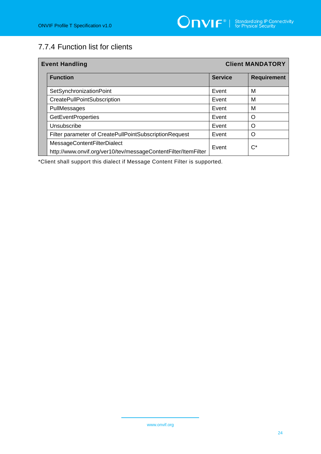# 7.7.4 Function list for clients

| <b>Event Handling</b>                                                                         |                | <b>Client MANDATORY</b> |  |
|-----------------------------------------------------------------------------------------------|----------------|-------------------------|--|
| <b>Function</b>                                                                               | <b>Service</b> | <b>Requirement</b>      |  |
| SetSynchronizationPoint                                                                       | Event          | М                       |  |
| <b>CreatePullPointSubscription</b>                                                            | Event          | м                       |  |
| PullMessages                                                                                  | Event          | м                       |  |
| <b>GetEventProperties</b>                                                                     | Event          | Ω                       |  |
| Unsubscribe                                                                                   | Event          | O                       |  |
| Filter parameter of CreatePullPointSubscriptionRequest                                        | Event          | Ω                       |  |
| MessageContentFilterDialect<br>http://www.onvif.org/ver10/tev/messageContentFilter/ItemFilter | Event          | $C^*$                   |  |

\*Client shall support this dialect if Message Content Filter is supported.

www.onvif.org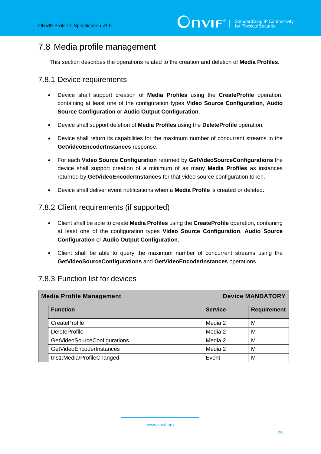## <span id="page-24-0"></span>7.8 Media profile management

This section describes the operations related to the creation and deletion of **Media Profiles**.

#### 7.8.1 Device requirements

- Device shall support creation of **Media Profiles** using the **CreateProfile** operation, containing at least one of the configuration types **Video Source Configuration**, **Audio Source Configuration** or **Audio Output Configuration**.
- Device shall support deletion of **Media Profiles** using the **DeleteProfile** operation.
- Device shall return its capabilities for the maximum number of concurrent streams in the **GetVideoEncoderInstances** response.
- For each **Video Source Configuration** returned by **GetVideoSourceConfigurations** the device shall support creation of a minimum of as many **Media Profiles** as instances returned by **GetVideoEncoderInstances** for that video source configuration token.
- Device shall deliver event notifications when a **Media Profile** is created or deleted.

#### 7.8.2 Client requirements (if supported)

- Client shall be able to create **Media Profiles** using the **CreateProfile** operation, containing at least one of the configuration types **Video Source Configuration**, **Audio Source Configuration** or **Audio Output Configuration**.
- Client shall be able to query the maximum number of concurrent streams using the **GetVideoSourceConfigurations** and **GetVideoEncoderInstances** operations.

#### 7.8.3 Function list for devices

| <b>Media Profile Management</b> |                | <b>Device MANDATORY</b> |  |
|---------------------------------|----------------|-------------------------|--|
| <b>Function</b>                 | <b>Service</b> | <b>Requirement</b>      |  |
| CreateProfile                   | Media 2        | M                       |  |
| <b>DeleteProfile</b>            | Media 2        | M                       |  |
| GetVideoSourceConfigurations    | Media 2        | М                       |  |
| GetVideoEncoderInstances        | Media 2        | M                       |  |
| tns1:Media/ProfileChanged       | Event          | M                       |  |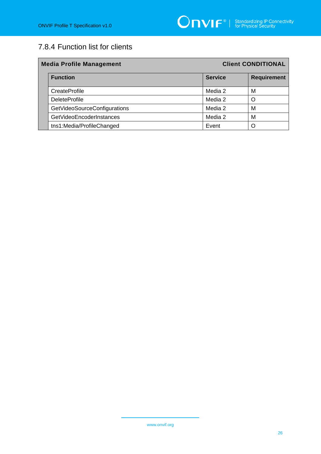# 7.8.4 Function list for clients

| <b>Media Profile Management</b> |                              | <b>Client CONDITIONAL</b> |                    |
|---------------------------------|------------------------------|---------------------------|--------------------|
|                                 | <b>Function</b>              | <b>Service</b>            | <b>Requirement</b> |
|                                 | CreateProfile                | Media 2                   | M                  |
|                                 | <b>DeleteProfile</b>         | Media 2                   | Ω                  |
|                                 | GetVideoSourceConfigurations | Media 2                   | М                  |
|                                 | GetVideoEncoderInstances     | Media 2                   | M                  |
|                                 | tns1:Media/ProfileChanged    | Event                     |                    |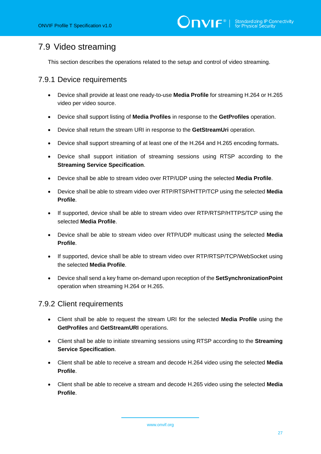# <span id="page-26-0"></span>7.9 Video streaming

This section describes the operations related to the setup and control of video streaming.

#### 7.9.1 Device requirements

- Device shall provide at least one ready-to-use **Media Profile** for streaming H.264 or H.265 video per video source.
- Device shall support listing of **Media Profiles** in response to the **GetProfiles** operation.
- Device shall return the stream URI in response to the **GetStreamUri** operation.
- Device shall support streaming of at least one of the H.264 and H.265 encoding formats**.**
- Device shall support initiation of streaming sessions using RTSP according to the **Streaming Service Specification**.
- Device shall be able to stream video over RTP/UDP using the selected **Media Profile**.
- Device shall be able to stream video over RTP/RTSP/HTTP/TCP using the selected **Media Profile**.
- If supported, device shall be able to stream video over RTP/RTSP/HTTPS/TCP using the selected **Media Profile**.
- Device shall be able to stream video over RTP/UDP multicast using the selected **Media Profile**.
- If supported, device shall be able to stream video over RTP/RTSP/TCP/WebSocket using the selected **Media Profile**.
- Device shall send a key frame on-demand upon reception of the **SetSynchronizationPoint** operation when streaming H.264 or H.265.

#### 7.9.2 Client requirements

- Client shall be able to request the stream URI for the selected **Media Profile** using the **GetProfiles** and **GetStreamURI** operations.
- Client shall be able to initiate streaming sessions using RTSP according to the **Streaming Service Specification**.
- Client shall be able to receive a stream and decode H.264 video using the selected **Media Profile**.
- Client shall be able to receive a stream and decode H.265 video using the selected **Media Profile**.

www.onvif.org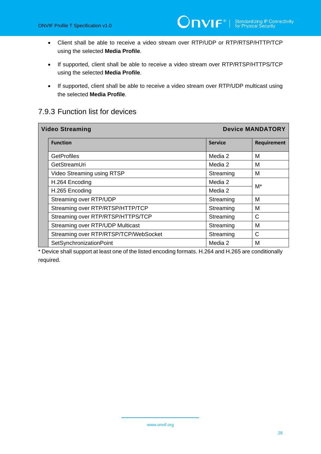- Client shall be able to receive a video stream over RTP/UDP or RTP/RTSP/HTTP/TCP using the selected **Media Profile**.
- If supported, client shall be able to receive a video stream over RTP/RTSP/HTTPS/TCP using the selected **Media Profile**.
- If supported, client shall be able to receive a video stream over RTP/UDP multicast using the selected **Media Profile**.

#### 7.9.3 Function list for devices

| <b>Video Streaming</b>                | <b>Device MANDATORY</b> |                    |
|---------------------------------------|-------------------------|--------------------|
| <b>Function</b>                       | <b>Service</b>          | <b>Requirement</b> |
| <b>GetProfiles</b>                    | Media 2                 | М                  |
| GetStreamUri                          | Media 2                 | М                  |
| Video Streaming using RTSP            | Streaming               | м                  |
| H.264 Encoding                        | Media 2                 | M*                 |
| H.265 Encoding                        | Media 2                 |                    |
| Streaming over RTP/UDP                | Streaming               | М                  |
| Streaming over RTP/RTSP/HTTP/TCP      | Streaming               | М                  |
| Streaming over RTP/RTSP/HTTPS/TCP     | Streaming               | С                  |
| Streaming over RTP/UDP Multicast      | Streaming               | м                  |
| Streaming over RTP/RTSP/TCP/WebSocket | Streaming               | C                  |
| SetSynchronizationPoint               | Media 2                 | м                  |

\* Device shall support at least one of the listed encoding formats. H.264 and H.265 are conditionally required.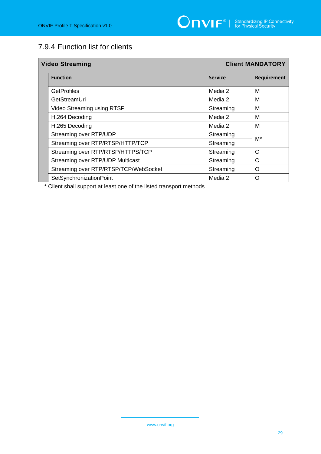## 7.9.4 Function list for clients

| <b>Client MANDATORY</b><br><b>Video Streaming</b> |                                       |                |                    |
|---------------------------------------------------|---------------------------------------|----------------|--------------------|
|                                                   | <b>Function</b>                       | <b>Service</b> | <b>Requirement</b> |
|                                                   | <b>GetProfiles</b>                    | Media 2        | м                  |
|                                                   | GetStreamUri                          | Media 2        | М                  |
|                                                   | Video Streaming using RTSP            | Streaming      | М                  |
|                                                   | H.264 Decoding                        | Media 2        | м                  |
|                                                   | H.265 Decoding                        | Media 2        | M                  |
|                                                   | Streaming over RTP/UDP                | Streaming      | M*                 |
|                                                   | Streaming over RTP/RTSP/HTTP/TCP      | Streaming      |                    |
|                                                   | Streaming over RTP/RTSP/HTTPS/TCP     | Streaming      | $\mathsf{C}$       |
|                                                   | Streaming over RTP/UDP Multicast      | Streaming      | C                  |
|                                                   | Streaming over RTP/RTSP/TCP/WebSocket | Streaming      | $\Omega$           |
|                                                   | SetSynchronizationPoint               | Media 2        | O                  |

\* Client shall support at least one of the listed transport methods.

www.onvif.org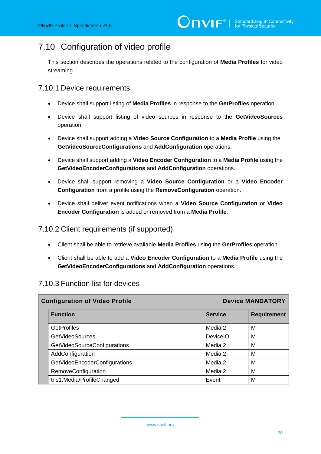# <span id="page-29-0"></span>7.10 Configuration of video profile

This section describes the operations related to the configuration of **Media Profiles** for video streaming.

#### 7.10.1 Device requirements

- Device shall support listing of **Media Profiles** in response to the **GetProfiles** operation.
- Device shall support listing of video sources in response to the **GetVideoSources** operation.
- Device shall support adding a **Video Source Configuration** to a **Media Profile** using the **GetVideoSourceConfigurations** and **AddConfiguration** operations.
- Device shall support adding a **Video Encoder Configuration** to a **Media Profile** using the **GetVideoEncoderConfigurations** and **AddConfiguration** operations.
- Device shall support removing a **Video Source Configuration** or a **Video Encoder Configuration** from a profile using the **RemoveConfiguration** operation.
- Device shall deliver event notifications when a **Video Source Configuration** or **Video Encoder Configuration** is added or removed from a **Media Profile**.

#### 7.10.2 Client requirements (if supported)

- Client shall be able to retrieve available **Media Profiles** using the **GetProfiles** operation.
- Client shall be able to add a **Video Encoder Configuration** to a **Media Profile** using the **GetVideoEncoderConfigurations** and **AddConfiguration** operations.

#### 7.10.3 Function list for devices

| <b>Configuration of Video Profile</b> |                               |                | <b>Device MANDATORY</b> |  |
|---------------------------------------|-------------------------------|----------------|-------------------------|--|
|                                       | <b>Function</b>               | <b>Service</b> | <b>Requirement</b>      |  |
|                                       | <b>GetProfiles</b>            | Media 2        | M                       |  |
|                                       | <b>GetVideoSources</b>        | DeviceIO       | M                       |  |
|                                       | GetVideoSourceConfigurations  | Media 2        | M                       |  |
|                                       | AddConfiguration              | Media 2        | M                       |  |
|                                       | GetVideoEncoderConfigurations | Media 2        | M                       |  |
|                                       | RemoveConfiguration           | Media 2        | M                       |  |
|                                       | tns1:Media/ProfileChanged     | Event          | M                       |  |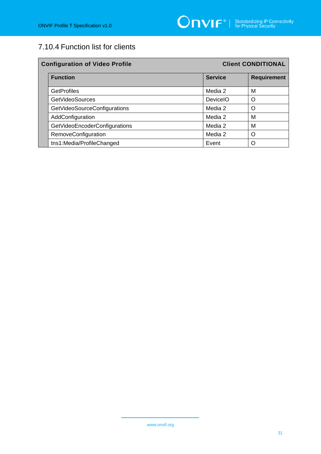# 7.10.4 Function list for clients

| <b>Configuration of Video Profile</b> |                | <b>Client CONDITIONAL</b> |  |
|---------------------------------------|----------------|---------------------------|--|
| <b>Function</b>                       | <b>Service</b> | <b>Requirement</b>        |  |
| <b>GetProfiles</b>                    | Media 2        | M                         |  |
| <b>GetVideoSources</b>                | DeviceIO       | Ω                         |  |
| GetVideoSourceConfigurations          | Media 2        | Ω                         |  |
| AddConfiguration                      | Media 2        | M                         |  |
| GetVideoEncoderConfigurations         | Media 2        | М                         |  |
| RemoveConfiguration                   | Media 2        | Ω                         |  |
| tns1:Media/ProfileChanged             | Event          | Ω                         |  |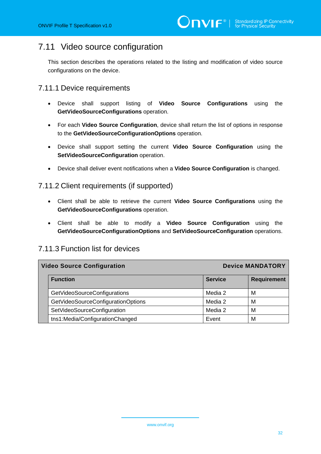### <span id="page-31-0"></span>7.11 Video source configuration

This section describes the operations related to the listing and modification of video source configurations on the device.

#### 7.11.1 Device requirements

- Device shall support listing of **Video Source Configurations** using the **GetVideoSourceConfigurations** operation.
- For each **Video Source Configuration**, device shall return the list of options in response to the **GetVideoSourceConfigurationOptions** operation.
- Device shall support setting the current **Video Source Configuration** using the **SetVideoSourceConfiguration** operation.
- Device shall deliver event notifications when a **Video Source Configuration** is changed.

#### 7.11.2 Client requirements (if supported)

- Client shall be able to retrieve the current **Video Source Configurations** using the **GetVideoSourceConfigurations** operation.
- Client shall be able to modify a **Video Source Configuration** using the **GetVideoSourceConfigurationOptions** and **SetVideoSourceConfiguration** operations.

# **Video Source Configuration Device MANDATORY Function Requirement** GetVideoSourceConfigurations Media 2 Media 2 Media 2 GetVideoSourceConfigurationOptions | Media 2 Media 2 SetVideoSourceConfiguration Media 2 Media 2 Media 2 tns1:Media/ConfigurationChanged **Event** Revent M

#### 7.11.3 Function list for devices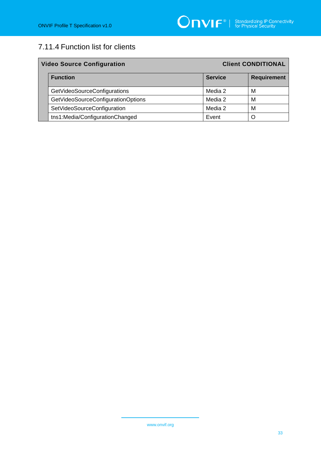# 7.11.4 Function list for clients

| <b>Client CONDITIONAL</b><br><b>Video Source Configuration</b> |                                    |                |                    |
|----------------------------------------------------------------|------------------------------------|----------------|--------------------|
|                                                                | <b>Function</b>                    | <b>Service</b> | <b>Requirement</b> |
|                                                                | GetVideoSourceConfigurations       | Media 2        | M                  |
|                                                                | GetVideoSourceConfigurationOptions | Media 2        | м                  |
|                                                                | SetVideoSourceConfiguration        | Media 2        | M                  |
|                                                                | tns1:Media/ConfigurationChanged    | Event          |                    |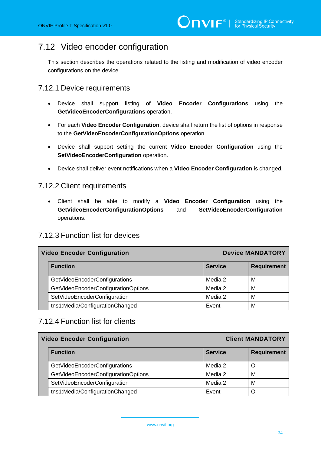# <span id="page-33-0"></span>7.12 Video encoder configuration

This section describes the operations related to the listing and modification of video encoder configurations on the device.

#### 7.12.1 Device requirements

- Device shall support listing of **Video Encoder Configurations** using the **GetVideoEncoderConfigurations** operation.
- For each **Video Encoder Configuration**, device shall return the list of options in response to the **GetVideoEncoderConfigurationOptions** operation.
- Device shall support setting the current **Video Encoder Configuration** using the **SetVideoEncoderConfiguration** operation.
- Device shall deliver event notifications when a **Video Encoder Configuration** is changed.

#### 7.12.2 Client requirements

• Client shall be able to modify a **Video Encoder Configuration** using the **GetVideoEncoderConfigurationOptions** and **SetVideoEncoderConfiguration** operations.

#### 7.12.3 Function list for devices

| <b>Device MANDATORY</b><br><b>Video Encoder Configuration</b> |                                     |                |                    |
|---------------------------------------------------------------|-------------------------------------|----------------|--------------------|
|                                                               | <b>Function</b>                     | <b>Service</b> | <b>Requirement</b> |
|                                                               | GetVideoEncoderConfigurations       | Media 2        | м                  |
|                                                               | GetVideoEncoderConfigurationOptions | Media 2        | м                  |
|                                                               | SetVideoEncoderConfiguration        | Media 2        | M                  |
|                                                               | tns1:Media/ConfigurationChanged     | Event          | M                  |

#### 7.12.4 Function list for clients

| <b>Client MANDATORY</b><br><b>Video Encoder Configuration</b> |                                     |                |                    |
|---------------------------------------------------------------|-------------------------------------|----------------|--------------------|
|                                                               | <b>Function</b>                     | <b>Service</b> | <b>Requirement</b> |
|                                                               | GetVideoEncoderConfigurations       | Media 2        |                    |
|                                                               | GetVideoEncoderConfigurationOptions | Media 2        | M                  |
|                                                               | SetVideoEncoderConfiguration        | Media 2        | M                  |
|                                                               | tns1:Media/ConfigurationChanged     | Event          |                    |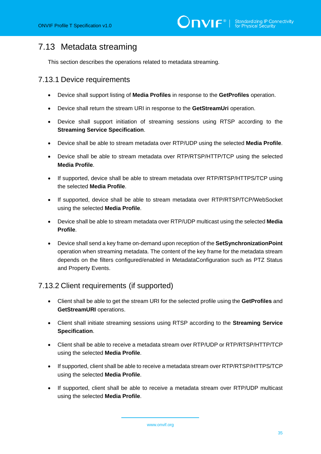# <span id="page-34-0"></span>7.13 Metadata streaming

This section describes the operations related to metadata streaming.

#### 7.13.1 Device requirements

- Device shall support listing of **Media Profiles** in response to the **GetProfiles** operation.
- Device shall return the stream URI in response to the **GetStreamUri** operation.
- Device shall support initiation of streaming sessions using RTSP according to the **Streaming Service Specification**.
- Device shall be able to stream metadata over RTP/UDP using the selected **Media Profile**.
- Device shall be able to stream metadata over RTP/RTSP/HTTP/TCP using the selected **Media Profile**.
- If supported, device shall be able to stream metadata over RTP/RTSP/HTTPS/TCP using the selected **Media Profile**.
- If supported, device shall be able to stream metadata over RTP/RTSP/TCP/WebSocket using the selected **Media Profile**.
- Device shall be able to stream metadata over RTP/UDP multicast using the selected **Media Profile**.
- Device shall send a key frame on-demand upon reception of the **SetSynchronizationPoint** operation when streaming metadata. The content of the key frame for the metadata stream depends on the filters configured/enabled in MetadataConfiguration such as PTZ Status and Property Events.

#### 7.13.2 Client requirements (if supported)

- Client shall be able to get the stream URI for the selected profile using the **GetProfiles** and **GetStreamURI** operations.
- Client shall initiate streaming sessions using RTSP according to the **Streaming Service Specification**.
- Client shall be able to receive a metadata stream over RTP/UDP or RTP/RTSP/HTTP/TCP using the selected **Media Profile**.
- If supported, client shall be able to receive a metadata stream over RTP/RTSP/HTTPS/TCP using the selected **Media Profile**.
- If supported, client shall be able to receive a metadata stream over RTP/UDP multicast using the selected **Media Profile**.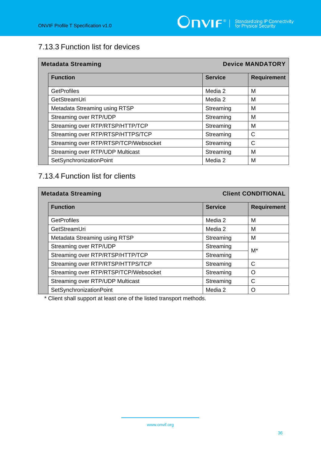## 7.13.3 Function list for devices

| <b>Metadata Streaming</b>             |                | <b>Device MANDATORY</b> |
|---------------------------------------|----------------|-------------------------|
| <b>Function</b>                       | <b>Service</b> | <b>Requirement</b>      |
| <b>GetProfiles</b>                    | Media 2        | M                       |
| GetStreamUri                          | Media 2        | M                       |
| Metadata Streaming using RTSP         | Streaming      | M                       |
| Streaming over RTP/UDP                | Streaming      | M                       |
| Streaming over RTP/RTSP/HTTP/TCP      | Streaming      | M                       |
| Streaming over RTP/RTSP/HTTPS/TCP     | Streaming      | C                       |
| Streaming over RTP/RTSP/TCP/Websocket | Streaming      | C                       |
| Streaming over RTP/UDP Multicast      | Streaming      | M                       |
| SetSynchronizationPoint               | Media 2        | M                       |

### 7.13.4 Function list for clients

| <b>Metadata Streaming</b> |                                       |                | <b>Client CONDITIONAL</b> |  |
|---------------------------|---------------------------------------|----------------|---------------------------|--|
|                           | <b>Function</b>                       | <b>Service</b> | <b>Requirement</b>        |  |
|                           | <b>GetProfiles</b>                    | Media 2        | М                         |  |
|                           | GetStreamUri                          | Media 2        | М                         |  |
|                           | Metadata Streaming using RTSP         | Streaming      | м                         |  |
|                           | Streaming over RTP/UDP                | Streaming      | M*                        |  |
|                           | Streaming over RTP/RTSP/HTTP/TCP      | Streaming      |                           |  |
|                           | Streaming over RTP/RTSP/HTTPS/TCP     | Streaming      | C                         |  |
|                           | Streaming over RTP/RTSP/TCP/Websocket | Streaming      | O                         |  |
|                           | Streaming over RTP/UDP Multicast      | Streaming      | C                         |  |
|                           | SetSynchronizationPoint               | Media 2        | ∩                         |  |

\* Client shall support at least one of the listed transport methods.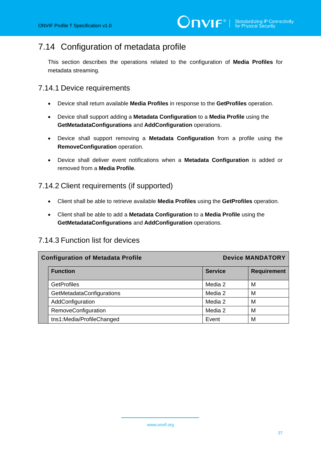# 7.14 Configuration of metadata profile

This section describes the operations related to the configuration of **Media Profiles** for metadata streaming.

### 7.14.1 Device requirements

- Device shall return available **Media Profiles** in response to the **GetProfiles** operation.
- Device shall support adding a **Metadata Configuration** to a **Media Profile** using the **GetMetadataConfigurations** and **AddConfiguration** operations.
- Device shall support removing a **Metadata Configuration** from a profile using the **RemoveConfiguration** operation.
- Device shall deliver event notifications when a **Metadata Configuration** is added or removed from a **Media Profile**.

#### 7.14.2 Client requirements (if supported)

- Client shall be able to retrieve available **Media Profiles** using the **GetProfiles** operation.
- Client shall be able to add a **Metadata Configuration** to a **Media Profile** using the **GetMetadataConfigurations** and **AddConfiguration** operations.

### 7.14.3 Function list for devices

| <b>Configuration of Metadata Profile</b> |                | <b>Device MANDATORY</b> |  |
|------------------------------------------|----------------|-------------------------|--|
| <b>Function</b>                          | <b>Service</b> | <b>Requirement</b>      |  |
| <b>GetProfiles</b>                       | Media 2        | м                       |  |
| GetMetadataConfigurations                | Media 2        | м                       |  |
| AddConfiguration                         | Media 2        | м                       |  |
| RemoveConfiguration                      | Media 2        | М                       |  |
| tns1:Media/ProfileChanged                | Event          | М                       |  |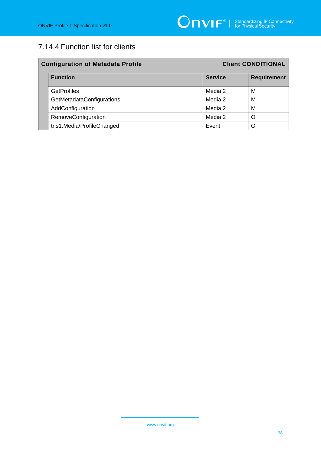# 7.14.4 Function list for clients

| <b>Configuration of Metadata Profile</b> |                | <b>Client CONDITIONAL</b> |  |  |
|------------------------------------------|----------------|---------------------------|--|--|
| <b>Function</b>                          | <b>Service</b> | <b>Requirement</b>        |  |  |
| <b>GetProfiles</b>                       | Media 2        | М                         |  |  |
| GetMetadataConfigurations                | Media 2        | М                         |  |  |
| AddConfiguration                         | Media 2        | М                         |  |  |
| RemoveConfiguration                      | Media 2        | ∩                         |  |  |
| tns1:Media/ProfileChanged                | Event          |                           |  |  |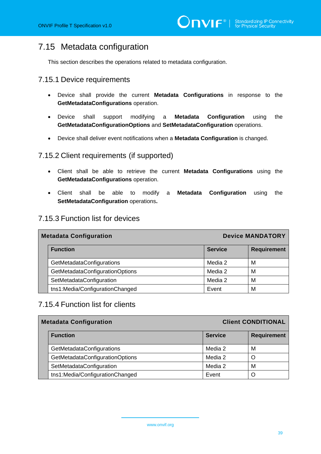# 7.15 Metadata configuration

This section describes the operations related to metadata configuration.

### 7.15.1 Device requirements

- Device shall provide the current **Metadata Configurations** in response to the **GetMetadataConfigurations** operation.
- Device shall support modifying a **Metadata Configuration** using the **GetMetadataConfigurationOptions** and **SetMetadataConfiguration** operations.
- Device shall deliver event notifications when a **Metadata Configuration** is changed.

#### 7.15.2 Client requirements (if supported)

- Client shall be able to retrieve the current **Metadata Configurations** using the **GetMetadataConfigurations** operation.
- Client shall be able to modify a **Metadata Configuration** using the **SetMetadataConfiguration** operations**.**

### 7.15.3 Function list for devices

| <b>Device MANDATORY</b><br><b>Metadata Configuration</b> |                |                    |
|----------------------------------------------------------|----------------|--------------------|
| <b>Function</b>                                          | <b>Service</b> | <b>Requirement</b> |
| GetMetadataConfigurations                                | Media 2        | м                  |
| GetMetadataConfigurationOptions                          | Media 2        | м                  |
| SetMetadataConfiguration                                 | Media 2        | M                  |
| tns1:Media/ConfigurationChanged                          | Event          | м                  |

### 7.15.4 Function list for clients

| <b>Metadata Configuration</b>    | <b>Client CONDITIONAL</b> |                    |
|----------------------------------|---------------------------|--------------------|
| <b>Function</b>                  | <b>Service</b>            | <b>Requirement</b> |
| <b>GetMetadataConfigurations</b> | Media 2                   | M                  |
| GetMetadataConfigurationOptions  | Media 2                   |                    |
| SetMetadataConfiguration         | Media 2                   | м                  |
| tns1:Media/ConfigurationChanged  | Event                     |                    |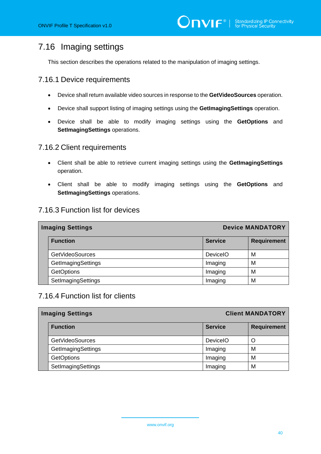# 7.16 Imaging settings

This section describes the operations related to the manipulation of imaging settings.

#### 7.16.1 Device requirements

- Device shall return available video sources in response to the **GetVideoSources** operation.
- Device shall support listing of imaging settings using the **GetImagingSettings** operation.
- Device shall be able to modify imaging settings using the **GetOptions** and **SetImagingSettings** operations.

#### 7.16.2 Client requirements

- Client shall be able to retrieve current imaging settings using the **GetImagingSettings** operation.
- Client shall be able to modify imaging settings using the **GetOptions** and **SetImagingSettings** operations.

### 7.16.3 Function list for devices

| <b>Imaging Settings</b> |                 | <b>Device MANDATORY</b> |  |
|-------------------------|-----------------|-------------------------|--|
| <b>Function</b>         | <b>Service</b>  | <b>Requirement</b>      |  |
| <b>GetVideoSources</b>  | <b>DeviceIO</b> | м                       |  |
| GetImagingSettings      | Imaging         | M                       |  |
| <b>GetOptions</b>       | Imaging         | M                       |  |
| SetImagingSettings      | Imaging         | M                       |  |

### 7.16.4 Function list for clients

| <b>Client MANDATORY</b><br><b>Imaging Settings</b> |                 |                    |
|----------------------------------------------------|-----------------|--------------------|
| <b>Function</b>                                    | <b>Service</b>  | <b>Requirement</b> |
| <b>GetVideoSources</b>                             | <b>DeviceIO</b> | Ő                  |
| GetImagingSettings                                 | Imaging         | м                  |
| <b>GetOptions</b>                                  | Imaging         | M                  |
| SetImagingSettings                                 | Imaging         | M                  |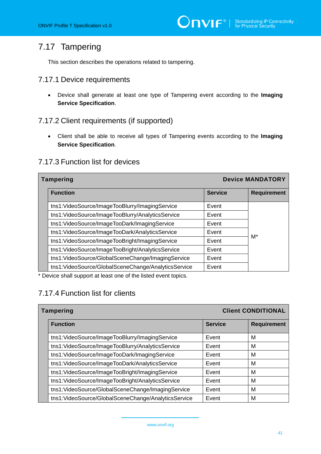# 7.17 Tampering

This section describes the operations related to tampering.

#### 7.17.1 Device requirements

• Device shall generate at least one type of Tampering event according to the **Imaging Service Specification**.

#### 7.17.2 Client requirements (if supported)

• Client shall be able to receive all types of Tampering events according to the **Imaging Service Specification**.

| <b>Device MANDATORY</b><br>Tampering                |                |                    |
|-----------------------------------------------------|----------------|--------------------|
| <b>Function</b>                                     | <b>Service</b> | <b>Requirement</b> |
| tns1:VideoSource/ImageTooBlurry/ImagingService      | Event          |                    |
| tns1:VideoSource/ImageTooBlurry/AnalyticsService    | Event          |                    |
| tns1:VideoSource/ImageTooDark/ImagingService        | Event          |                    |
| tns1:VideoSource/ImageTooDark/AnalyticsService      | Event          | M*                 |
| tns1:VideoSource/ImageTooBright/ImagingService      | Event          |                    |
| tns1:VideoSource/ImageTooBright/AnalyticsService    | Event          |                    |
| tns1:VideoSource/GlobalSceneChange/ImagingService   | Event          |                    |
| tns1:VideoSource/GlobalSceneChange/AnalyticsService | Event          |                    |

### 7.17.3 Function list for devices

\* Device shall support at least one of the listed event topics.

### 7.17.4 Function list for clients

| <b>Tampering</b> |                                                     |                | <b>Client CONDITIONAL</b> |
|------------------|-----------------------------------------------------|----------------|---------------------------|
|                  | <b>Function</b>                                     | <b>Service</b> | <b>Requirement</b>        |
|                  | tns1:VideoSource/ImageTooBlurry/ImagingService      | Event          | M                         |
|                  | tns1:VideoSource/ImageTooBlurry/AnalyticsService    | Event          | M                         |
|                  | tns1:VideoSource/ImageTooDark/ImagingService        | Event          | M                         |
|                  | tns1:VideoSource/ImageTooDark/AnalyticsService      | Event          | M                         |
|                  | tns1:VideoSource/ImageTooBright/ImagingService      | Event          | M                         |
|                  | tns1:VideoSource/ImageTooBright/AnalyticsService    | Event          | M                         |
|                  | tns1:VideoSource/GlobalSceneChange/ImagingService   | Event          | M                         |
|                  | tns1:VideoSource/GlobalSceneChange/AnalyticsService | Event          | M                         |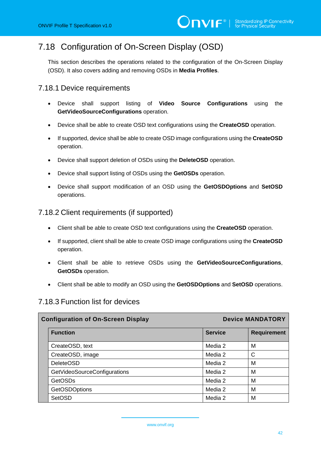# 7.18 Configuration of On-Screen Display (OSD)

This section describes the operations related to the configuration of the On-Screen Display (OSD). It also covers adding and removing OSDs in **Media Profiles**.

### 7.18.1 Device requirements

- Device shall support listing of **Video Source Configurations** using the **GetVideoSourceConfigurations** operation.
- Device shall be able to create OSD text configurations using the **CreateOSD** operation.
- If supported, device shall be able to create OSD image configurations using the **CreateOSD** operation.
- Device shall support deletion of OSDs using the **DeleteOSD** operation.
- Device shall support listing of OSDs using the **GetOSDs** operation.
- Device shall support modification of an OSD using the **GetOSDOptions** and **SetOSD** operations.

### 7.18.2 Client requirements (if supported)

- Client shall be able to create OSD text configurations using the **CreateOSD** operation.
- If supported, client shall be able to create OSD image configurations using the **CreateOSD** operation.
- Client shall be able to retrieve OSDs using the **GetVideoSourceConfigurations**, **GetOSDs** operation.
- Client shall be able to modify an OSD using the **GetOSDOptions** and **SetOSD** operations.

#### 7.18.3 Function list for devices

| <b>Configuration of On-Screen Display</b> |                              | <b>Device MANDATORY</b> |                    |
|-------------------------------------------|------------------------------|-------------------------|--------------------|
|                                           | <b>Function</b>              | <b>Service</b>          | <b>Requirement</b> |
|                                           | CreateOSD, text              | Media 2                 | М                  |
|                                           | CreateOSD, image             | Media 2                 | $\mathsf{C}$       |
|                                           | <b>DeleteOSD</b>             | Media 2                 | M                  |
|                                           | GetVideoSourceConfigurations | Media 2                 | M                  |
|                                           | <b>GetOSDs</b>               | Media 2                 | M                  |
|                                           | <b>GetOSDOptions</b>         | Media 2                 | M                  |
|                                           | <b>SetOSD</b>                | Media 2                 | М                  |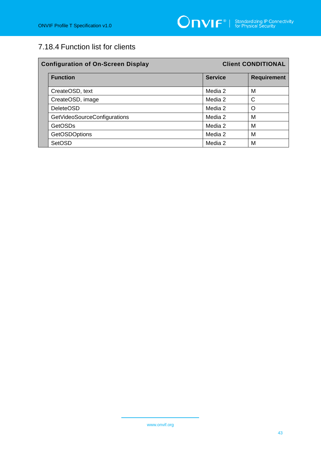# 7.18.4 Function list for clients

| <b>Configuration of On-Screen Display</b> |                | <b>Client CONDITIONAL</b> |  |
|-------------------------------------------|----------------|---------------------------|--|
| <b>Function</b>                           | <b>Service</b> | <b>Requirement</b>        |  |
| CreateOSD, text                           | Media 2        | M                         |  |
| CreateOSD, image                          | Media 2        | C                         |  |
| <b>DeleteOSD</b>                          | Media 2        | O                         |  |
| GetVideoSourceConfigurations              | Media 2        | M                         |  |
| <b>GetOSDs</b>                            | Media 2        | M                         |  |
| <b>GetOSDOptions</b>                      | Media 2        | M                         |  |
| <b>SetOSD</b>                             | Media 2        | M                         |  |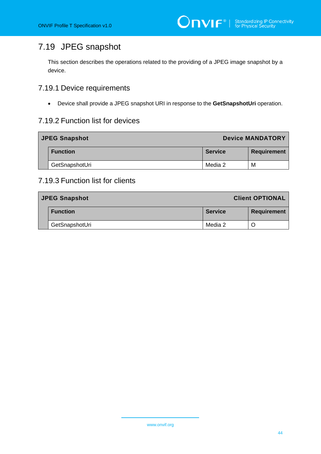# 7.19 JPEG snapshot

This section describes the operations related to the providing of a JPEG image snapshot by a device.

### 7.19.1 Device requirements

• Device shall provide a JPEG snapshot URI in response to the **GetSnapshotUri** operation.

### 7.19.2 Function list for devices

| <b>JPEG Snapshot</b> | <b>Device MANDATORY</b> |                    |
|----------------------|-------------------------|--------------------|
| <b>Function</b>      | <b>Service</b>          | <b>Requirement</b> |
| GetSnapshotUri       | Media 2                 | M                  |

### 7.19.3 Function list for clients

| <b>JPEG Snapshot</b> |                 |                | <b>Client OPTIONAL</b> |
|----------------------|-----------------|----------------|------------------------|
|                      | <b>Function</b> | <b>Service</b> | <b>Requirement</b>     |
|                      | GetSnapshotUri  | Media 2        |                        |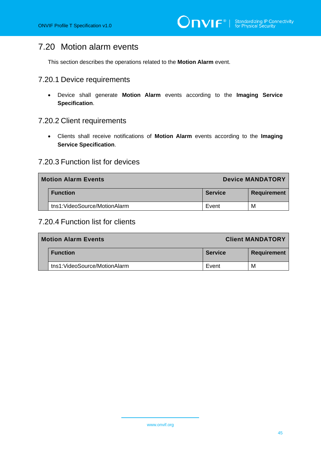# 7.20 Motion alarm events

This section describes the operations related to the **Motion Alarm** event.

#### 7.20.1 Device requirements

• Device shall generate **Motion Alarm** events according to the **Imaging Service Specification**.

#### 7.20.2 Client requirements

• Clients shall receive notifications of **Motion Alarm** events according to the **Imaging Service Specification**.

#### 7.20.3 Function list for devices

| <b>Motion Alarm Events</b>   | <b>Device MANDATORY</b> |                    |
|------------------------------|-------------------------|--------------------|
| <b>Function</b>              | <b>Service</b>          | <b>Requirement</b> |
| tns1:VideoSource/MotionAlarm | Event                   | м                  |

### 7.20.4 Function list for clients

| <b>Motion Alarm Events</b>   |                | <b>Client MANDATORY</b> |
|------------------------------|----------------|-------------------------|
| <b>Function</b>              | <b>Service</b> | <b>Requirement</b>      |
| tns1:VideoSource/MotionAlarm | Event          | м                       |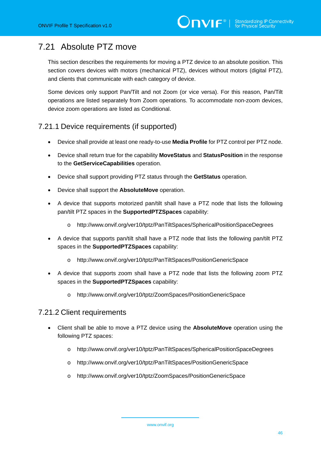# 7.21 Absolute PTZ move

This section describes the requirements for moving a PTZ device to an absolute position. This section covers devices with motors (mechanical PTZ), devices without motors (digital PTZ), and clients that communicate with each category of device.

Some devices only support Pan/Tilt and not Zoom (or vice versa). For this reason, Pan/Tilt operations are listed separately from Zoom operations. To accommodate non-zoom devices, device zoom operations are listed as Conditional.

### 7.21.1 Device requirements (if supported)

- Device shall provide at least one ready-to-use **Media Profile** for PTZ control per PTZ node.
- Device shall return true for the capability **MoveStatus** and **StatusPosition** in the response to the **GetServiceCapabilities** operation.
- Device shall support providing PTZ status through the **GetStatus** operation.
- Device shall support the **AbsoluteMove** operation.
- A device that supports motorized pan/tilt shall have a PTZ node that lists the following pan/tilt PTZ spaces in the **SupportedPTZSpaces** capability:
	- o http://www.onvif.org/ver10/tptz/PanTiltSpaces/SphericalPositionSpaceDegrees
- A device that supports pan/tilt shall have a PTZ node that lists the following pan/tilt PTZ spaces in the **SupportedPTZSpaces** capability:
	- o http://www.onvif.org/ver10/tptz/PanTiltSpaces/PositionGenericSpace
- A device that supports zoom shall have a PTZ node that lists the following zoom PTZ spaces in the **SupportedPTZSpaces** capability:
	- o http://www.onvif.org/ver10/tptz/ZoomSpaces/PositionGenericSpace

#### 7.21.2 Client requirements

- Client shall be able to move a PTZ device using the **AbsoluteMove** operation using the following PTZ spaces:
	- o http://www.onvif.org/ver10/tptz/PanTiltSpaces/SphericalPositionSpaceDegrees
	- o http://www.onvif.org/ver10/tptz/PanTiltSpaces/PositionGenericSpace
	- o http://www.onvif.org/ver10/tptz/ZoomSpaces/PositionGenericSpace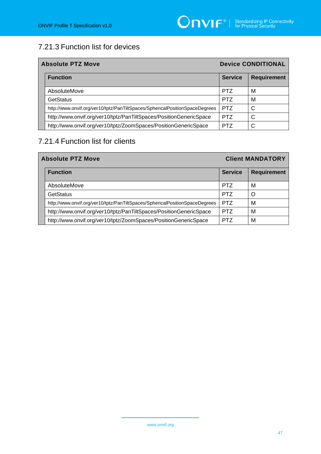# 7.21.3 Function list for devices

| <b>Absolute PTZ Move</b>                                                    |                | <b>Device CONDITIONAL</b> |  |
|-----------------------------------------------------------------------------|----------------|---------------------------|--|
| <b>Function</b>                                                             | <b>Service</b> | <b>Requirement</b>        |  |
| AbsoluteMove                                                                | <b>PTZ</b>     | M                         |  |
| GetStatus                                                                   | <b>PTZ</b>     | м                         |  |
| http://www.onvif.org/ver10/tptz/PanTiltSpaces/SphericalPositionSpaceDegrees | <b>PTZ</b>     | C                         |  |
| http://www.onvif.org/ver10/tptz/PanTiltSpaces/PositionGenericSpace          | <b>PTZ</b>     | С                         |  |
| http://www.onvif.org/ver10/tptz/ZoomSpaces/PositionGenericSpace             | PT7            |                           |  |

# 7.21.4 Function list for clients

| <b>Absolute PTZ Move</b>                                                    |                | <b>Client MANDATORY</b> |  |
|-----------------------------------------------------------------------------|----------------|-------------------------|--|
| <b>Function</b>                                                             | <b>Service</b> | <b>Requirement</b>      |  |
| AbsoluteMove                                                                | <b>PTZ</b>     | м                       |  |
| <b>GetStatus</b>                                                            | <b>PTZ</b>     | $\Omega$                |  |
| http://www.onvif.org/ver10/tptz/PanTiltSpaces/SphericalPositionSpaceDegrees | <b>PTZ</b>     | M                       |  |
| http://www.onvif.org/ver10/tptz/PanTiltSpaces/PositionGenericSpace          | <b>PTZ</b>     | M                       |  |
| http://www.onvif.org/ver10/tptz/ZoomSpaces/PositionGenericSpace             | <b>PTZ</b>     | M                       |  |

www.onvif.org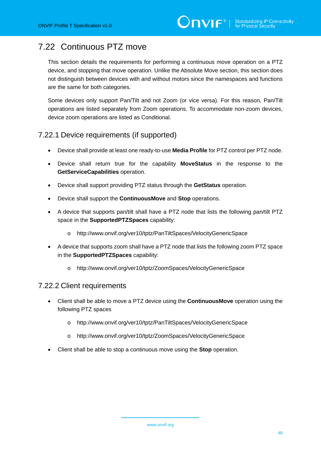# 7.22 Continuous PTZ move

This section details the requirements for performing a continuous move operation on a PTZ device, and stopping that move operation. Unlike the Absolute Move section, this section does not distinguish between devices with and without motors since the namespaces and functions are the same for both categories.

Some devices only support Pan/Tilt and not Zoom (or vice versa). For this reason, Pan/Tilt operations are listed separately from Zoom operations. To accommodate non-zoom devices, device zoom operations are listed as Conditional.

### 7.22.1 Device requirements (if supported)

- Device shall provide at least one ready-to-use **Media Profile** for PTZ control per PTZ node.
- Device shall return true for the capability **MoveStatus** in the response to the **GetServiceCapabilities** operation.
- Device shall support providing PTZ status through the **GetStatus** operation.
- Device shall support the **ContinuousMove** and **Stop** operations.
- A device that supports pan/tilt shall have a PTZ node that lists the following pan/tilt PTZ space in the **SupportedPTZSpaces** capability:
	- o http://www.onvif.org/ver10/tptz/PanTiltSpaces/VelocityGenericSpace
- A device that supports zoom shall have a PTZ node that lists the following zoom PTZ space in the **SupportedPTZSpaces** capability:
	- o http://www.onvif.org/ver10/tptz/ZoomSpaces/VelocityGenericSpace

#### 7.22.2 Client requirements

- Client shall be able to move a PTZ device using the **ContinuousMove** operation using the following PTZ spaces
	- o http://www.onvif.org/ver10/tptz/PanTiltSpaces/VelocityGenericSpace
	- o http://www.onvif.org/ver10/tptz/ZoomSpaces/VelocityGenericSpace
- Client shall be able to stop a continuous move using the **Stop** operation.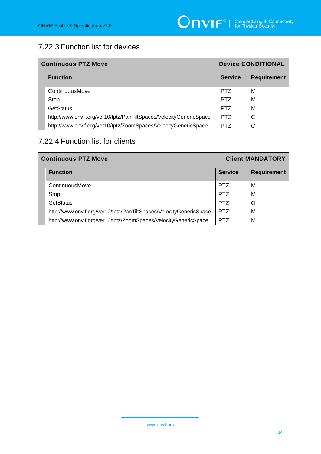# 7.22.3 Function list for devices

| <b>Continuous PTZ Move</b>                                         |                | <b>Device CONDITIONAL</b> |  |
|--------------------------------------------------------------------|----------------|---------------------------|--|
| <b>Function</b>                                                    | <b>Service</b> | <b>Requirement</b>        |  |
| ContinuousMove                                                     | <b>PTZ</b>     | М                         |  |
| Stop                                                               | <b>PTZ</b>     | М                         |  |
| <b>GetStatus</b>                                                   | <b>PTZ</b>     | М                         |  |
| http://www.onvif.org/ver10/tptz/PanTiltSpaces/VelocityGenericSpace | <b>PTZ</b>     | C                         |  |
| http://www.onvif.org/ver10/tptz/ZoomSpaces/VelocityGenericSpace    | <b>PTZ</b>     | C                         |  |

# 7.22.4 Function list for clients

| <b>Continuous PTZ Move</b>                                         |                | <b>Client MANDATORY</b> |  |
|--------------------------------------------------------------------|----------------|-------------------------|--|
| <b>Function</b>                                                    | <b>Service</b> | <b>Requirement</b>      |  |
| ContinuousMove                                                     | <b>PTZ</b>     | M                       |  |
| Stop                                                               | <b>PTZ</b>     | м                       |  |
| GetStatus                                                          | <b>PTZ</b>     | Ω                       |  |
| http://www.onvif.org/ver10/tptz/PanTiltSpaces/VelocityGenericSpace | <b>PTZ</b>     | M                       |  |
| http://www.onvif.org/ver10/tptz/ZoomSpaces/VelocityGenericSpace    | PTZ            | M                       |  |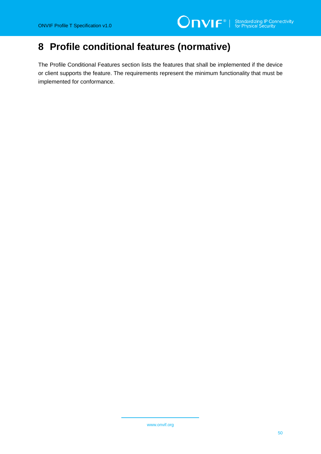# **8 Profile conditional features (normative)**

The Profile Conditional Features section lists the features that shall be implemented if the device or client supports the feature. The requirements represent the minimum functionality that must be implemented for conformance.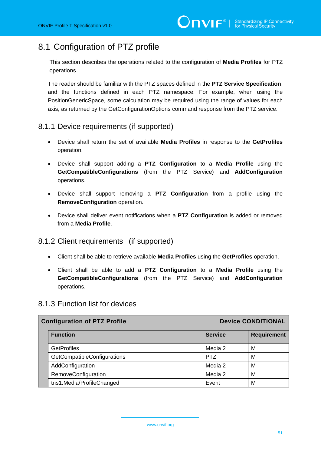# 8.1 Configuration of PTZ profile

This section describes the operations related to the configuration of **Media Profiles** for PTZ operations.

The reader should be familiar with the PTZ spaces defined in the **PTZ Service Specification**, and the functions defined in each PTZ namespace. For example, when using the PositionGenericSpace, some calculation may be required using the range of values for each axis, as returned by the GetConfigurationOptions command response from the PTZ service.

### 8.1.1 Device requirements (if supported)

- Device shall return the set of available **Media Profiles** in response to the **GetProfiles** operation.
- Device shall support adding a **PTZ Configuration** to a **Media Profile** using the **GetCompatibleConfigurations** (from the PTZ Service) and **AddConfiguration**  operations.
- Device shall support removing a **PTZ Configuration** from a profile using the **RemoveConfiguration** operation.
- Device shall deliver event notifications when a **PTZ Configuration** is added or removed from a **Media Profile**.

#### 8.1.2 Client requirements (if supported)

- Client shall be able to retrieve available **Media Profiles** using the **GetProfiles** operation.
- Client shall be able to add a **PTZ Configuration** to a **Media Profile** using the **GetCompatibleConfigurations** (from the PTZ Service) and **AddConfiguration**  operations.

#### 8.1.3 Function list for devices

| <b>Configuration of PTZ Profile</b> |                             |                | <b>Device CONDITIONAL</b> |
|-------------------------------------|-----------------------------|----------------|---------------------------|
|                                     | <b>Function</b>             | <b>Service</b> | <b>Requirement</b>        |
|                                     | <b>GetProfiles</b>          | Media 2        | м                         |
|                                     | GetCompatibleConfigurations | <b>PTZ</b>     | M                         |
|                                     | AddConfiguration            | Media 2        | м                         |
|                                     | RemoveConfiguration         | Media 2        | М                         |
|                                     | tns1:Media/ProfileChanged   | Event          | M                         |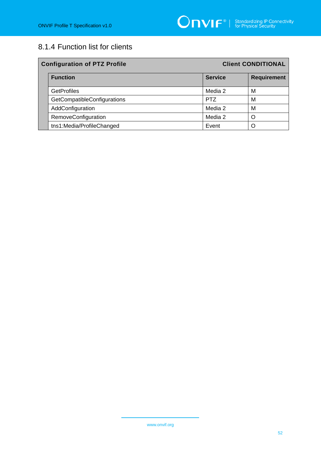# 8.1.4 Function list for clients

| <b>Configuration of PTZ Profile</b> | <b>Client CONDITIONAL</b> |                    |
|-------------------------------------|---------------------------|--------------------|
| <b>Function</b>                     | <b>Service</b>            | <b>Requirement</b> |
| <b>GetProfiles</b>                  | Media 2                   | М                  |
| GetCompatibleConfigurations         | <b>PTZ</b>                | М                  |
| AddConfiguration                    | Media 2                   | М                  |
| RemoveConfiguration                 | Media 2                   | ∩                  |
| tns1:Media/ProfileChanged           | Event                     |                    |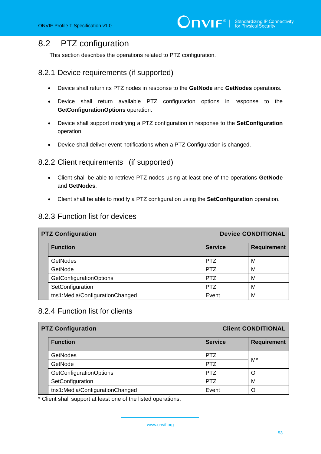### 8.2 PTZ configuration

This section describes the operations related to PTZ configuration.

#### 8.2.1 Device requirements (if supported)

- Device shall return its PTZ nodes in response to the **GetNode** and **GetNodes** operations.
- Device shall return available PTZ configuration options in response to the **GetConfigurationOptions** operation.
- Device shall support modifying a PTZ configuration in response to the **SetConfiguration** operation.
- Device shall deliver event notifications when a PTZ Configuration is changed.

#### 8.2.2 Client requirements (if supported)

- Client shall be able to retrieve PTZ nodes using at least one of the operations **GetNode** and **GetNodes**.
- Client shall be able to modify a PTZ configuration using the **SetConfiguration** operation.

#### 8.2.3 Function list for devices

| <b>PTZ Configuration</b>        |                | <b>Device CONDITIONAL</b> |  |
|---------------------------------|----------------|---------------------------|--|
| <b>Function</b>                 | <b>Service</b> | <b>Requirement</b>        |  |
| <b>GetNodes</b>                 | <b>PTZ</b>     | м                         |  |
| GetNode                         | <b>PTZ</b>     | M                         |  |
| <b>GetConfigurationOptions</b>  | <b>PTZ</b>     | М                         |  |
| SetConfiguration                | <b>PTZ</b>     | M                         |  |
| tns1:Media/ConfigurationChanged | Event          | M                         |  |

### 8.2.4 Function list for clients

| <b>PTZ Configuration</b>        | <b>Client CONDITIONAL</b> |                    |
|---------------------------------|---------------------------|--------------------|
| <b>Function</b>                 | <b>Service</b>            | <b>Requirement</b> |
| <b>GetNodes</b>                 | <b>PTZ</b>                | M*                 |
| GetNode                         | <b>PTZ</b>                |                    |
| <b>GetConfigurationOptions</b>  | <b>PTZ</b>                |                    |
| SetConfiguration                | <b>PTZ</b>                | M                  |
| tns1:Media/ConfigurationChanged | Event                     |                    |

\* Client shall support at least one of the listed operations.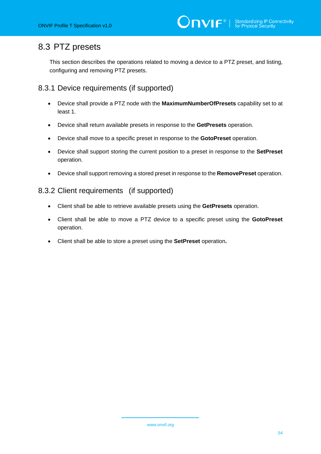# 8.3 PTZ presets

This section describes the operations related to moving a device to a PTZ preset, and listing, configuring and removing PTZ presets.

### 8.3.1 Device requirements (if supported)

- Device shall provide a PTZ node with the **MaximumNumberOfPresets** capability set to at least 1.
- Device shall return available presets in response to the **GetPresets** operation.
- Device shall move to a specific preset in response to the **GotoPreset** operation.
- Device shall support storing the current position to a preset in response to the **SetPreset** operation.
- Device shall support removing a stored preset in response to the **RemovePreset** operation.

#### 8.3.2 Client requirements (if supported)

- Client shall be able to retrieve available presets using the **GetPresets** operation.
- Client shall be able to move a PTZ device to a specific preset using the **GotoPreset** operation.
- Client shall be able to store a preset using the **SetPreset** operation**.**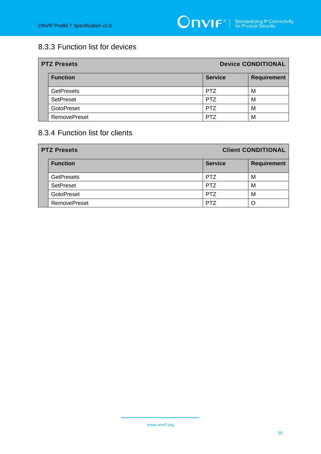# 8.3.3 Function list for devices

| <b>PTZ Presets</b>  | <b>Device CONDITIONAL</b> |                    |
|---------------------|---------------------------|--------------------|
| <b>Function</b>     | <b>Service</b>            | <b>Requirement</b> |
| <b>GetPresets</b>   | <b>PTZ</b>                | м                  |
| <b>SetPreset</b>    | <b>PTZ</b>                | м                  |
| <b>GotoPreset</b>   | <b>PTZ</b>                | M                  |
| <b>RemovePreset</b> | PT7                       | M                  |

### 8.3.4 Function list for clients

| <b>PTZ Presets</b>  | <b>Client CONDITIONAL</b> |                    |
|---------------------|---------------------------|--------------------|
| <b>Function</b>     | <b>Service</b>            | <b>Requirement</b> |
| <b>GetPresets</b>   | <b>PTZ</b>                | M                  |
| <b>SetPreset</b>    | <b>PTZ</b>                | M                  |
| GotoPreset          | <b>PTZ</b>                | M                  |
| <b>RemovePreset</b> | PT <sub>7</sub>           |                    |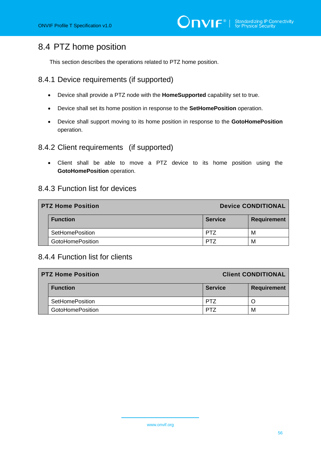# 8.4 PTZ home position

This section describes the operations related to PTZ home position.

#### 8.4.1 Device requirements (if supported)

- Device shall provide a PTZ node with the **HomeSupported** capability set to true.
- Device shall set its home position in response to the **SetHomePosition** operation.
- Device shall support moving to its home position in response to the **GotoHomePosition** operation.

#### 8.4.2 Client requirements (if supported)

• Client shall be able to move a PTZ device to its home position using the **GotoHomePosition** operation.

#### 8.4.3 Function list for devices

| <b>PTZ Home Position</b> |                         | <b>Device CONDITIONAL</b> |                    |
|--------------------------|-------------------------|---------------------------|--------------------|
|                          | <b>Function</b>         | <b>Service</b>            | <b>Requirement</b> |
|                          | <b>SetHomePosition</b>  | PT7                       | м                  |
|                          | <b>GotoHomePosition</b> | PT.                       | м                  |

#### 8.4.4 Function list for clients

| <b>PTZ Home Position</b> |                         | <b>Client CONDITIONAL</b> |                    |
|--------------------------|-------------------------|---------------------------|--------------------|
|                          | <b>Function</b>         | <b>Service</b>            | <b>Requirement</b> |
|                          | <b>SetHomePosition</b>  | PT7                       |                    |
|                          | <b>GotoHomePosition</b> | PT7                       | M                  |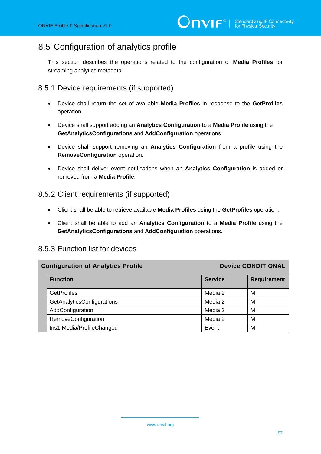# 8.5 Configuration of analytics profile

This section describes the operations related to the configuration of **Media Profiles** for streaming analytics metadata.

### 8.5.1 Device requirements (if supported)

- Device shall return the set of available **Media Profiles** in response to the **GetProfiles** operation.
- Device shall support adding an **Analytics Configuration** to a **Media Profile** using the **GetAnalyticsConfigurations** and **AddConfiguration** operations.
- Device shall support removing an **Analytics Configuration** from a profile using the **RemoveConfiguration** operation.
- Device shall deliver event notifications when an **Analytics Configuration** is added or removed from a **Media Profile**.

#### 8.5.2 Client requirements (if supported)

- Client shall be able to retrieve available **Media Profiles** using the **GetProfiles** operation.
- Client shall be able to add an **Analytics Configuration** to a **Media Profile** using the **GetAnalyticsConfigurations** and **AddConfiguration** operations.

| <b>Configuration of Analytics Profile</b> |                | <b>Device CONDITIONAL</b> |  |
|-------------------------------------------|----------------|---------------------------|--|
| <b>Function</b>                           | <b>Service</b> | <b>Requirement</b>        |  |
| <b>GetProfiles</b>                        | Media 2        | M                         |  |
| GetAnalyticsConfigurations                | Media 2        | M                         |  |
| AddConfiguration                          | Media 2        | M                         |  |
| RemoveConfiguration                       | Media 2        | M                         |  |
| tns1:Media/ProfileChanged                 | Event          | M                         |  |

#### 8.5.3 Function list for devices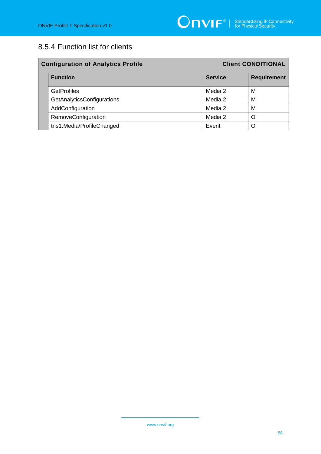# 8.5.4 Function list for clients

| <b>Configuration of Analytics Profile</b> |                | <b>Client CONDITIONAL</b> |  |
|-------------------------------------------|----------------|---------------------------|--|
| <b>Function</b>                           | <b>Service</b> | <b>Requirement</b>        |  |
| <b>GetProfiles</b>                        | Media 2        | М                         |  |
| GetAnalyticsConfigurations                | Media 2        | М                         |  |
| AddConfiguration                          | Media 2        | М                         |  |
| RemoveConfiguration                       | Media 2        | O                         |  |
| tns1:Media/ProfileChanged                 | Event          | O                         |  |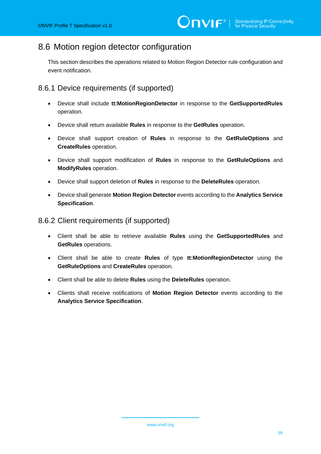# 8.6 Motion region detector configuration

This section describes the operations related to Motion Region Detector rule configuration and event notification.

### 8.6.1 Device requirements (if supported)

- Device shall include **tt:MotionRegionDetector** in response to the **GetSupportedRules** operation.
- Device shall return available **Rules** in response to the **GetRules** operation.
- Device shall support creation of **Rules** in response to the **GetRuleOptions** and **CreateRules** operation.
- Device shall support modification of **Rules** in response to the **GetRuleOptions** and **ModifyRules** operation.
- Device shall support deletion of **Rules** in response to the **DeleteRules** operation.
- Device shall generate **Motion Region Detector** events according to the **Analytics Service Specification**.

#### 8.6.2 Client requirements (if supported)

- Client shall be able to retrieve available **Rules** using the **GetSupportedRules** and **GetRules** operations.
- Client shall be able to create **Rules** of type **tt:MotionRegionDetector** using the **GetRuleOptions** and **CreateRules** operation.
- Client shall be able to delete **Rules** using the **DeleteRules** operation.
- Clients shall receive notifications of **Motion Region Detector** events according to the **Analytics Service Specification**.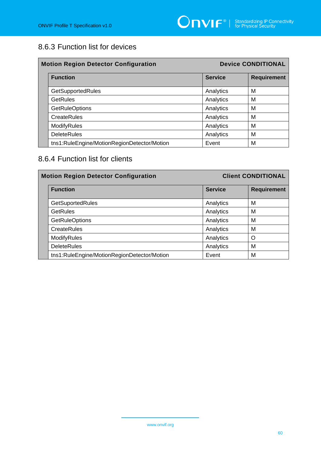### 8.6.3 Function list for devices

| <b>Motion Region Detector Configuration</b> |                | <b>Device CONDITIONAL</b> |  |
|---------------------------------------------|----------------|---------------------------|--|
| <b>Function</b>                             | <b>Service</b> | <b>Requirement</b>        |  |
| <b>GetSupportedRules</b>                    | Analytics      | M                         |  |
| <b>GetRules</b>                             | Analytics      | M                         |  |
| <b>GetRuleOptions</b>                       | Analytics      | M                         |  |
| <b>CreateRules</b>                          | Analytics      | M                         |  |
| ModifyRules                                 | Analytics      | M                         |  |
| <b>DeleteRules</b>                          | Analytics      | M                         |  |
| tns1:RuleEngine/MotionRegionDetector/Motion | Event          | м                         |  |

# 8.6.4 Function list for clients

| <b>Motion Region Detector Configuration</b> |                | <b>Client CONDITIONAL</b> |  |
|---------------------------------------------|----------------|---------------------------|--|
| <b>Function</b>                             | <b>Service</b> | <b>Requirement</b>        |  |
| <b>GetSuportedRules</b>                     | Analytics      | M                         |  |
| <b>GetRules</b>                             | Analytics      | M                         |  |
| <b>GetRuleOptions</b>                       | Analytics      | M                         |  |
| <b>CreateRules</b>                          | Analytics      | M                         |  |
| ModifyRules                                 | Analytics      | O                         |  |
| <b>DeleteRules</b>                          | Analytics      | M                         |  |
| tns1:RuleEngine/MotionRegionDetector/Motion | Event          | M                         |  |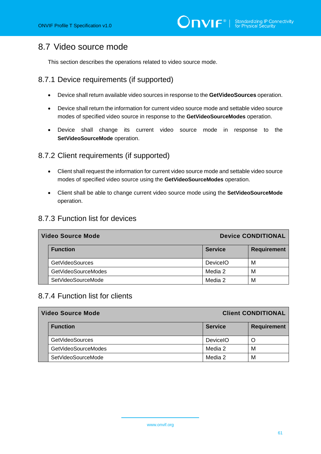# 8.7 Video source mode

This section describes the operations related to video source mode.

### 8.7.1 Device requirements (if supported)

- Device shall return available video sources in response to the **GetVideoSources** operation.
- Device shall return the information for current video source mode and settable video source modes of specified video source in response to the **GetVideoSourceModes** operation.
- Device shall change its current video source mode in response to the **SetVideoSourceMode** operation.

### 8.7.2 Client requirements (if supported)

- Client shall request the information for current video source mode and settable video source modes of specified video source using the **GetVideoSourceModes** operation.
- Client shall be able to change current video source mode using the **SetVideoSourceMode** operation.

#### 8.7.3 Function list for devices

| <b>Video Source Mode</b> |                        | <b>Device CONDITIONAL</b> |                    |
|--------------------------|------------------------|---------------------------|--------------------|
|                          | <b>Function</b>        | <b>Service</b>            | <b>Requirement</b> |
|                          | <b>GetVideoSources</b> | DeviceIO                  | м                  |
|                          | GetVideoSourceModes    | Media 2                   | M                  |
|                          | SetVideoSourceMode     | Media 2                   | M                  |

### 8.7.4 Function list for clients

| <b>Video Source Mode</b> |                 | <b>Client CONDITIONAL</b> |  |
|--------------------------|-----------------|---------------------------|--|
| <b>Function</b>          | <b>Service</b>  | <b>Requirement</b>        |  |
| <b>GetVideoSources</b>   | <b>DeviceIO</b> | Ő                         |  |
| GetVideoSourceModes      | Media 2         | M                         |  |
| SetVideoSourceMode       | Media 2         | M                         |  |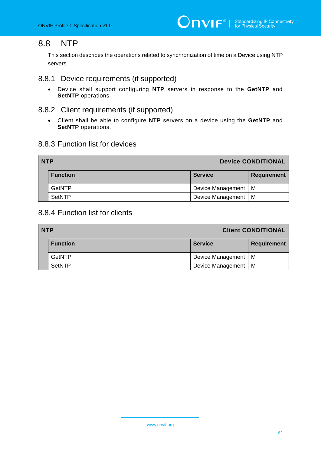# 8.8 NTP

This section describes the operations related to synchronization of time on a Device using NTP servers.

### 8.8.1 Device requirements (if supported)

- Device shall support configuring **NTP** servers in response to the **GetNTP** and **SetNTP** operations.
- 8.8.2 Client requirements (if supported)
	- Client shall be able to configure **NTP** servers on a device using the **GetNTP** and **SetNTP** operations.

#### 8.8.3 Function list for devices

| <b>Device CONDITIONAL</b><br><b>NTP</b> |                 |                   |                    |
|-----------------------------------------|-----------------|-------------------|--------------------|
|                                         | <b>Function</b> | <b>Service</b>    | <b>Requirement</b> |
|                                         | GetNTP          | Device Management | M                  |
|                                         | <b>SetNTP</b>   | Device Management | м                  |

### 8.8.4 Function list for clients

| <b>NTP</b><br><b>Client CONDITIONAL</b> |                       |             |
|-----------------------------------------|-----------------------|-------------|
| <b>Function</b>                         | <b>Service</b>        | Requirement |
| GetNTP                                  | Device Management   M |             |
| <b>SetNTP</b>                           | Device Management   M |             |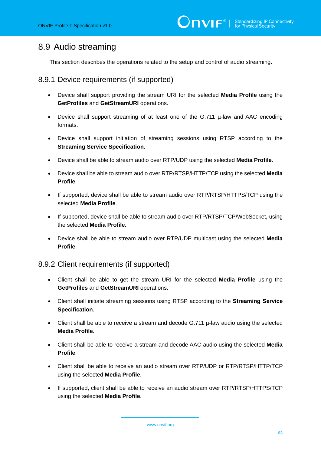# 8.9 Audio streaming

This section describes the operations related to the setup and control of audio streaming.

#### 8.9.1 Device requirements (if supported)

- Device shall support providing the stream URI for the selected **Media Profile** using the **GetProfiles** and **GetStreamURI** operations.
- Device shall support streaming of at least one of the G.711 µ-law and AAC encoding formats.
- Device shall support initiation of streaming sessions using RTSP according to the **Streaming Service Specification**.
- Device shall be able to stream audio over RTP/UDP using the selected **Media Profile**.
- Device shall be able to stream audio over RTP/RTSP/HTTP/TCP using the selected **Media Profile**.
- If supported, device shall be able to stream audio over RTP/RTSP/HTTPS/TCP using the selected **Media Profile**.
- If supported, device shall be able to stream audio over RTP/RTSP/TCP/WebSocket**,** using the selected **Media Profile.**
- Device shall be able to stream audio over RTP/UDP multicast using the selected **Media Profile**.

#### 8.9.2 Client requirements (if supported)

- Client shall be able to get the stream URI for the selected **Media Profile** using the **GetProfiles** and **GetStreamURI** operations.
- Client shall initiate streaming sessions using RTSP according to the **Streaming Service Specification**.
- Client shall be able to receive a stream and decode G.711  $\mu$ -law audio using the selected **Media Profile**.
- Client shall be able to receive a stream and decode AAC audio using the selected **Media Profile**.
- Client shall be able to receive an audio stream over RTP/UDP or RTP/RTSP/HTTP/TCP using the selected **Media Profile**.
- If supported, client shall be able to receive an audio stream over RTP/RTSP/HTTPS/TCP using the selected **Media Profile**.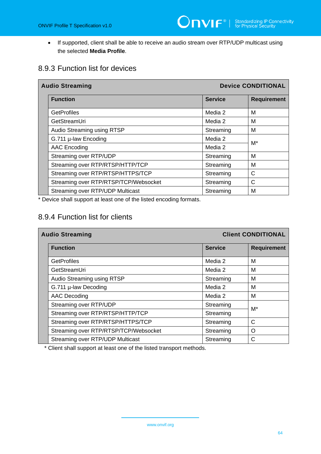• If supported, client shall be able to receive an audio stream over RTP/UDP multicast using the selected **Media Profile**.

### 8.9.3 Function list for devices

| <b>Audio Streaming</b>                |                | <b>Device CONDITIONAL</b> |  |
|---------------------------------------|----------------|---------------------------|--|
| <b>Function</b>                       | <b>Service</b> | <b>Requirement</b>        |  |
| <b>GetProfiles</b>                    | Media 2        | м                         |  |
| GetStreamUri                          | Media 2        | M                         |  |
| Audio Streaming using RTSP            | Streaming      | м                         |  |
| G.711 µ-law Encoding                  | Media 2        | M*                        |  |
| AAC Encoding                          | Media 2        |                           |  |
| Streaming over RTP/UDP                | Streaming      | м                         |  |
| Streaming over RTP/RTSP/HTTP/TCP      | Streaming      | M                         |  |
| Streaming over RTP/RTSP/HTTPS/TCP     | Streaming      | $\mathsf{C}$              |  |
| Streaming over RTP/RTSP/TCP/Websocket | Streaming      | C                         |  |
| Streaming over RTP/UDP Multicast      | Streaming      | M                         |  |

\* Device shall support at least one of the listed encoding formats.

### 8.9.4 Function list for clients

| <b>Audio Streaming</b>                |                | <b>Client CONDITIONAL</b> |  |
|---------------------------------------|----------------|---------------------------|--|
| <b>Function</b>                       | <b>Service</b> | <b>Requirement</b>        |  |
| <b>GetProfiles</b>                    | Media 2        | м                         |  |
| GetStreamUri                          | Media 2        | M                         |  |
| Audio Streaming using RTSP            | Streaming      | M                         |  |
| G.711 µ-law Decoding                  | Media 2        | M                         |  |
| AAC Decoding                          | Media 2        | M                         |  |
| Streaming over RTP/UDP                | Streaming      |                           |  |
| Streaming over RTP/RTSP/HTTP/TCP      | Streaming      | M*                        |  |
| Streaming over RTP/RTSP/HTTPS/TCP     | Streaming      | C                         |  |
| Streaming over RTP/RTSP/TCP/Websocket | Streaming      | O                         |  |
| Streaming over RTP/UDP Multicast      | Streaming      | C                         |  |

\* Client shall support at least one of the listed transport methods.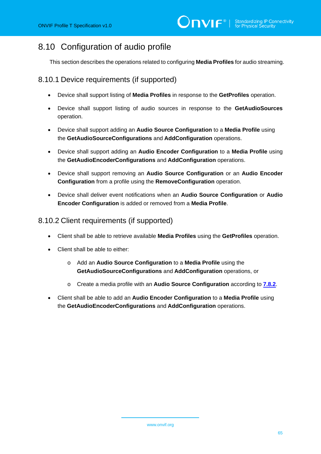# 8.10 Configuration of audio profile

This section describes the operations related to configuring **Media Profiles** for audio streaming.

### 8.10.1 Device requirements (if supported)

- Device shall support listing of **Media Profiles** in response to the **GetProfiles** operation.
- Device shall support listing of audio sources in response to the **GetAudioSources** operation.
- Device shall support adding an **Audio Source Configuration** to a **Media Profile** using the **GetAudioSourceConfigurations** and **AddConfiguration** operations.
- Device shall support adding an **Audio Encoder Configuration** to a **Media Profile** using the **GetAudioEncoderConfigurations** and **AddConfiguration** operations.
- Device shall support removing an **Audio Source Configuration** or an **Audio Encoder Configuration** from a profile using the **RemoveConfiguration** operation.
- Device shall deliver event notifications when an **Audio Source Configuration** or **Audio Encoder Configuration** is added or removed from a **Media Profile**.

#### 8.10.2 Client requirements (if supported)

- Client shall be able to retrieve available **Media Profiles** using the **GetProfiles** operation.
- Client shall be able to either:
	- o Add an **Audio Source Configuration** to a **Media Profile** using the **GetAudioSourceConfigurations** and **AddConfiguration** operations, or
	- o Create a media profile with an **Audio Source Configuration** according to **[7.8.2](#page-24-0)**.
- Client shall be able to add an **Audio Encoder Configuration** to a **Media Profile** using the **GetAudioEncoderConfigurations** and **AddConfiguration** operations.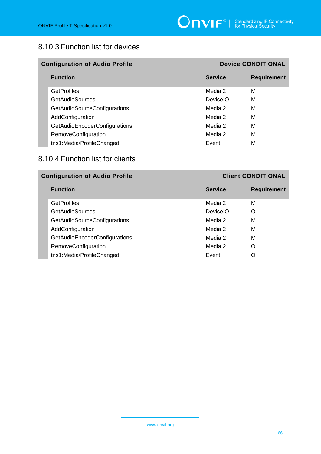# 8.10.3 Function list for devices

| <b>Configuration of Audio Profile</b> |                 | <b>Device CONDITIONAL</b> |  |
|---------------------------------------|-----------------|---------------------------|--|
| <b>Function</b>                       | <b>Service</b>  | <b>Requirement</b>        |  |
| <b>GetProfiles</b>                    | Media 2         | M                         |  |
| <b>GetAudioSources</b>                | <b>DeviceIO</b> | M                         |  |
| GetAudioSourceConfigurations          | Media 2         | М                         |  |
| AddConfiguration                      | Media 2         | M                         |  |
| GetAudioEncoderConfigurations         | Media 2         | M                         |  |
| RemoveConfiguration                   | Media 2         | М                         |  |
| tns1:Media/ProfileChanged             | Event           | M                         |  |

### 8.10.4 Function list for clients

| <b>Configuration of Audio Profile</b> |                               |                 | <b>Client CONDITIONAL</b> |  |
|---------------------------------------|-------------------------------|-----------------|---------------------------|--|
|                                       | <b>Function</b>               | <b>Service</b>  | <b>Requirement</b>        |  |
|                                       | <b>GetProfiles</b>            | Media 2         | М                         |  |
|                                       | <b>GetAudioSources</b>        | <b>DeviceIO</b> | O                         |  |
|                                       | GetAudioSourceConfigurations  | Media 2         | M                         |  |
|                                       | AddConfiguration              | Media 2         | м                         |  |
|                                       | GetAudioEncoderConfigurations | Media 2         | M                         |  |
|                                       | RemoveConfiguration           | Media 2         | ∩                         |  |
|                                       | tns1:Media/ProfileChanged     | Event           | ∩                         |  |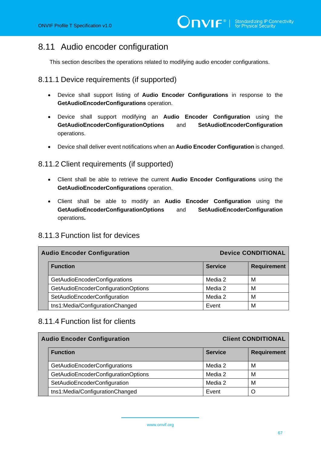# 8.11 Audio encoder configuration

This section describes the operations related to modifying audio encoder configurations.

### 8.11.1 Device requirements (if supported)

- Device shall support listing of **Audio Encoder Configurations** in response to the **GetAudioEncoderConfigurations** operation.
- Device shall support modifying an **Audio Encoder Configuration** using the **GetAudioEncoderConfigurationOptions** and **SetAudioEncoderConfiguration** operations.
- Device shall deliver event notifications when an **Audio Encoder Configuration** is changed.

#### 8.11.2 Client requirements (if supported)

- Client shall be able to retrieve the current **Audio Encoder Configurations** using the **GetAudioEncoderConfigurations** operation.
- Client shall be able to modify an **Audio Encoder Configuration** using the **GetAudioEncoderConfigurationOptions** and **SetAudioEncoderConfiguration** operations**.**

### 8.11.3 Function list for devices

| <b>Device CONDITIONAL</b><br><b>Audio Encoder Configuration</b> |                |                    |
|-----------------------------------------------------------------|----------------|--------------------|
| <b>Function</b>                                                 | <b>Service</b> | <b>Requirement</b> |
| GetAudioEncoderConfigurations                                   | Media 2        | М                  |
| GetAudioEncoderConfigurationOptions                             | Media 2        | М                  |
| SetAudioEncoderConfiguration                                    | Media 2        | М                  |
| tns1:Media/ConfigurationChanged                                 | Event          | M                  |

### 8.11.4 Function list for clients

| <b>Audio Encoder Configuration</b>  | <b>Client CONDITIONAL</b> |                    |
|-------------------------------------|---------------------------|--------------------|
| <b>Function</b>                     | <b>Service</b>            | <b>Requirement</b> |
| GetAudioEncoderConfigurations       | Media 2                   | M                  |
| GetAudioEncoderConfigurationOptions | Media 2                   | M                  |
| SetAudioEncoderConfiguration        | Media 2                   | M                  |
| tns1:Media/ConfigurationChanged     | Event                     | O                  |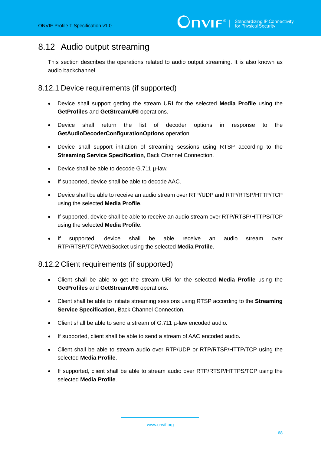# 8.12 Audio output streaming

This section describes the operations related to audio output streaming. It is also known as audio backchannel.

8.12.1 Device requirements (if supported)

- Device shall support getting the stream URI for the selected **Media Profile** using the **GetProfiles** and **GetStreamURI** operations.
- Device shall return the list of decoder options in response to the **GetAudioDecoderConfigurationOptions** operation.
- Device shall support initiation of streaming sessions using RTSP according to the **Streaming Service Specification**, Back Channel Connection.
- Device shall be able to decode G.711 µ-law.
- If supported, device shall be able to decode AAC.
- Device shall be able to receive an audio stream over RTP/UDP and RTP/RTSP/HTTP/TCP using the selected **Media Profile**.
- If supported, device shall be able to receive an audio stream over RTP/RTSP/HTTPS/TCP using the selected **Media Profile**.
- If supported, device shall be able receive an audio stream over RTP/RTSP/TCP/WebSocket using the selected **Media Profile**.

8.12.2 Client requirements (if supported)

- Client shall be able to get the stream URI for the selected **Media Profile** using the **GetProfiles** and **GetStreamURI** operations.
- Client shall be able to initiate streaming sessions using RTSP according to the **Streaming Service Specification**, Back Channel Connection.
- Client shall be able to send a stream of G.711 µ-law encoded audio**.**
- If supported, client shall be able to send a stream of AAC encoded audio**.**
- Client shall be able to stream audio over RTP/UDP or RTP/RTSP/HTTP/TCP using the selected **Media Profile**.
- If supported, client shall be able to stream audio over RTP/RTSP/HTTPS/TCP using the selected **Media Profile**.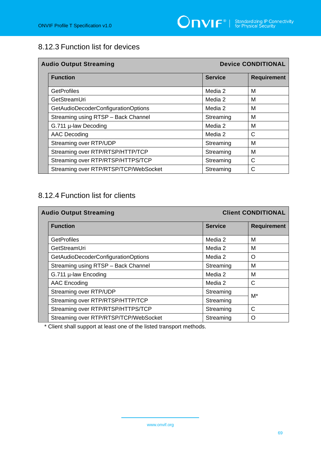# 8.12.3 Function list for devices

| <b>Audio Output Streaming</b>         |                | <b>Device CONDITIONAL</b> |  |
|---------------------------------------|----------------|---------------------------|--|
| <b>Function</b>                       | <b>Service</b> | <b>Requirement</b>        |  |
| <b>GetProfiles</b>                    | Media 2        | M                         |  |
| GetStreamUri                          | Media 2        | М                         |  |
| GetAudioDecoderConfigurationOptions   | Media 2        | м                         |  |
| Streaming using RTSP - Back Channel   | Streaming      | M                         |  |
| G.711 µ-law Decoding                  | Media 2        | M                         |  |
| AAC Decoding                          | Media 2        | C                         |  |
| Streaming over RTP/UDP                | Streaming      | M                         |  |
| Streaming over RTP/RTSP/HTTP/TCP      | Streaming      | M                         |  |
| Streaming over RTP/RTSP/HTTPS/TCP     | Streaming      | C                         |  |
| Streaming over RTP/RTSP/TCP/WebSocket | Streaming      | C                         |  |

# 8.12.4 Function list for clients

| <b>Audio Output Streaming</b>         |                | <b>Client CONDITIONAL</b> |  |
|---------------------------------------|----------------|---------------------------|--|
| <b>Function</b>                       | <b>Service</b> | <b>Requirement</b>        |  |
| <b>GetProfiles</b>                    | Media 2        | м                         |  |
| GetStreamUri                          | Media 2        | M                         |  |
| GetAudioDecoderConfigurationOptions   | Media 2        | O                         |  |
| Streaming using RTSP - Back Channel   | Streaming      | M                         |  |
| G.711 µ-law Encoding                  | Media 2        | M                         |  |
| AAC Encoding                          | Media 2        | C                         |  |
| Streaming over RTP/UDP                | Streaming      | M*                        |  |
| Streaming over RTP/RTSP/HTTP/TCP      | Streaming      |                           |  |
| Streaming over RTP/RTSP/HTTPS/TCP     | Streaming      | C                         |  |
| Streaming over RTP/RTSP/TCP/WebSocket | Streaming      | ∩                         |  |

\* Client shall support at least one of the listed transport methods.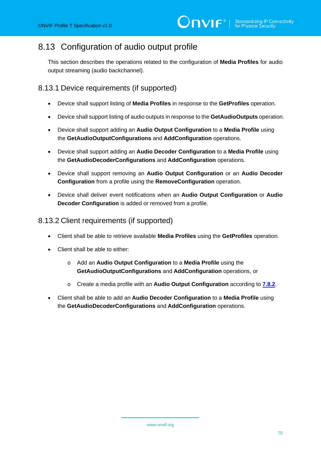# 8.13 Configuration of audio output profile

This section describes the operations related to the configuration of **Media Profiles** for audio output streaming (audio backchannel).

### 8.13.1 Device requirements (if supported)

- Device shall support listing of **Media Profiles** in response to the **GetProfiles** operation.
- Device shall support listing of audio outputs in response to the **GetAudioOutputs** operation.
- Device shall support adding an **Audio Output Configuration** to a **Media Profile** using the **GetAudioOutputConfigurations** and **AddConfiguration** operations.
- Device shall support adding an **Audio Decoder Configuration** to a **Media Profile** using the **GetAudioDecoderConfigurations** and **AddConfiguration** operations.
- Device shall support removing an **Audio Output Configuration** or an **Audio Decoder Configuration** from a profile using the **RemoveConfiguration** operation.
- Device shall deliver event notifications when an **Audio Output Configuration** or **Audio Decoder Configuration** is added or removed from a profile.

#### 8.13.2 Client requirements (if supported)

- Client shall be able to retrieve available **Media Profiles** using the **GetProfiles** operation.
- Client shall be able to either:
	- o Add an **Audio Output Configuration** to a **Media Profile** using the **GetAudioOutputConfigurations** and **AddConfiguration** operations, or
	- o Create a media profile with an **Audio Output Configuration** according to **[7.8.2](#page-24-0)**.
- Client shall be able to add an **Audio Decoder Configuration** to a **Media Profile** using the **GetAudioDecoderConfigurations** and **AddConfiguration** operations.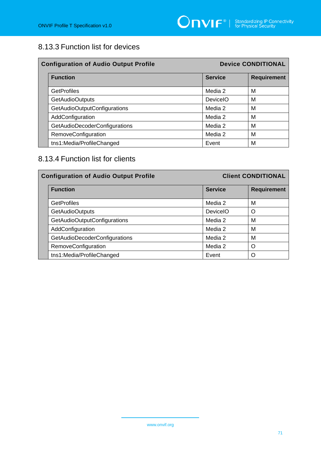# 8.13.3 Function list for devices

| <b>Configuration of Audio Output Profile</b> |                 | <b>Device CONDITIONAL</b> |  |
|----------------------------------------------|-----------------|---------------------------|--|
| <b>Function</b>                              | <b>Service</b>  | <b>Requirement</b>        |  |
| <b>GetProfiles</b>                           | Media 2         | M                         |  |
| <b>GetAudioOutputs</b>                       | <b>DeviceIO</b> | M                         |  |
| GetAudioOutputConfigurations                 | Media 2         | М                         |  |
| AddConfiguration                             | Media 2         | M                         |  |
| <b>GetAudioDecoderConfigurations</b>         | Media 2         | M                         |  |
| RemoveConfiguration                          | Media 2         | М                         |  |
| tns1:Media/ProfileChanged                    | Event           | M                         |  |

# 8.13.4 Function list for clients

| <b>Configuration of Audio Output Profile</b> |                                      | <b>Client CONDITIONAL</b> |                    |
|----------------------------------------------|--------------------------------------|---------------------------|--------------------|
|                                              | <b>Function</b>                      | <b>Service</b>            | <b>Requirement</b> |
|                                              | <b>GetProfiles</b>                   | Media 2                   | м                  |
|                                              | <b>GetAudioOutputs</b>               | <b>DeviceIO</b>           | $\Omega$           |
|                                              | GetAudioOutputConfigurations         | Media 2                   | м                  |
|                                              | AddConfiguration                     | Media 2                   | м                  |
|                                              | <b>GetAudioDecoderConfigurations</b> | Media 2                   | M                  |
|                                              | RemoveConfiguration                  | Media 2                   | ∩                  |
|                                              | tns1:Media/ProfileChanged            | Event                     | ∩                  |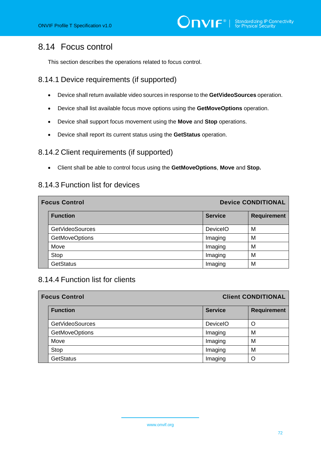# 8.14 Focus control

This section describes the operations related to focus control.

### 8.14.1 Device requirements (if supported)

- Device shall return available video sources in response to the **GetVideoSources** operation.
- Device shall list available focus move options using the **GetMoveOptions** operation.
- Device shall support focus movement using the **Move** and **Stop** operations.
- Device shall report its current status using the **GetStatus** operation.

### 8.14.2 Client requirements (if supported)

• Client shall be able to control focus using the **GetMoveOptions**, **Move** and **Stop.**

#### 8.14.3 Function list for devices

| <b>Focus Control</b> |                        |                | <b>Device CONDITIONAL</b> |  |
|----------------------|------------------------|----------------|---------------------------|--|
|                      | <b>Function</b>        | <b>Service</b> | <b>Requirement</b>        |  |
|                      | <b>GetVideoSources</b> | DeviceIO       | М                         |  |
|                      | <b>GetMoveOptions</b>  | Imaging        | М                         |  |
|                      | Move                   | Imaging        | M                         |  |
|                      | Stop                   | Imaging        | М                         |  |
|                      | <b>GetStatus</b>       | Imaging        | M                         |  |

#### 8.14.4 Function list for clients

| <b>Focus Control</b> |                        |                | <b>Client CONDITIONAL</b> |
|----------------------|------------------------|----------------|---------------------------|
|                      | <b>Function</b>        | <b>Service</b> | <b>Requirement</b>        |
|                      | <b>GetVideoSources</b> | DeviceIO       | O                         |
|                      | <b>GetMoveOptions</b>  | Imaging        | м                         |
|                      | Move                   | Imaging        | M                         |
|                      | Stop                   | Imaging        | M                         |
|                      | <b>GetStatus</b>       | Imaging        | O                         |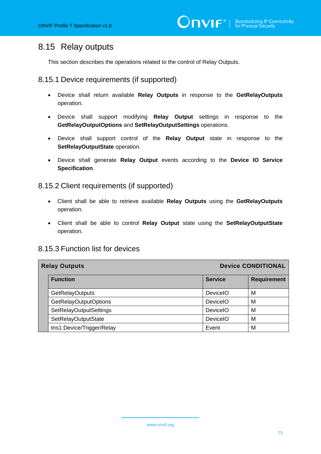## 8.15 Relay outputs

This section describes the operations related to the control of Relay Outputs.

#### 8.15.1 Device requirements (if supported)

- Device shall return available **Relay Outputs** in response to the **GetRelayOutputs** operation.
- Device shall support modifying **Relay Output** settings in response to the **GetRelayOutputOptions** and **SetRelayOutputSettings** operations.
- Device shall support control of the **Relay Output** state in response to the **SetRelayOutputState** operation.
- Device shall generate **Relay Output** events according to the **Device IO Service Specification**.

#### 8.15.2 Client requirements (if supported)

- Client shall be able to retrieve available **Relay Outputs** using the **GetRelayOutputs** operation.
- Client shall be able to control **Relay Output** state using the **SetRelayOutputState** operation.

#### 8.15.3 Function list for devices

| <b>Device CONDITIONAL</b><br><b>Relay Outputs</b> |                           |                 |                    |
|---------------------------------------------------|---------------------------|-----------------|--------------------|
|                                                   | <b>Function</b>           | <b>Service</b>  | <b>Requirement</b> |
|                                                   | <b>GetRelayOutputs</b>    | <b>DeviceIO</b> | M                  |
|                                                   | GetRelayOutputOptions     | <b>DeviceIO</b> | M                  |
|                                                   | SetRelayOutputSettings    | <b>DeviceIO</b> | M                  |
|                                                   | SetRelayOutputState       | <b>DeviceIO</b> | M                  |
|                                                   | tns1:Device/Trigger/Relay | Event           | M                  |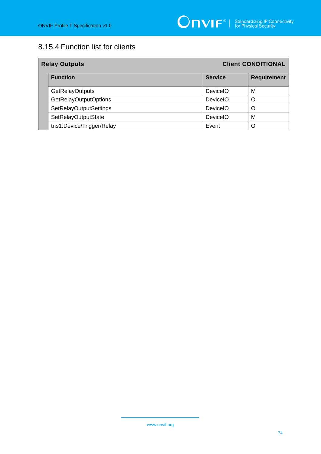# 8.15.4 Function list for clients

| <b>Client CONDITIONAL</b><br><b>Relay Outputs</b> |                           |                 |                    |
|---------------------------------------------------|---------------------------|-----------------|--------------------|
|                                                   | <b>Function</b>           | <b>Service</b>  | <b>Requirement</b> |
|                                                   | <b>GetRelayOutputs</b>    | <b>DeviceIO</b> | M                  |
|                                                   | GetRelayOutputOptions     | <b>DeviceIO</b> | O                  |
|                                                   | SetRelayOutputSettings    | <b>DeviceIO</b> | ∩                  |
|                                                   | SetRelayOutputState       | <b>DeviceIO</b> | M                  |
|                                                   | tns1:Device/Trigger/Relay | Event           | O                  |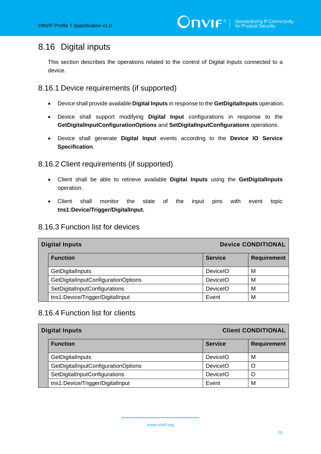## 8.16 Digital inputs

This section describes the operations related to the control of Digital Inputs connected to a device.

8.16.1 Device requirements (if supported)

- Device shall provide available **Digital Inputs** in response to the **GetDigitalInputs** operation.
- Device shall support modifying **Digital Input** configurations in response to the **GetDigitalInputConfigurationOptions** and **SetDigitalInputConfigurations** operations.
- Device shall generate **Digital Input** events according to the **Device IO Service Specification**.

### 8.16.2 Client requirements (if supported)

- Client shall be able to retrieve available **Digital Inputs** using the **GetDigitalInputs** operation.
- Client shall monitor the state of the input pins with event topic **tns1:Device/Trigger/DigitalInput.**

### 8.16.3 Function list for devices

| <b>Device CONDITIONAL</b><br><b>Digital Inputs</b> |                                     |                 |                    |
|----------------------------------------------------|-------------------------------------|-----------------|--------------------|
|                                                    | <b>Function</b>                     | <b>Service</b>  | <b>Requirement</b> |
|                                                    | GetDigitalInputs                    | <b>DeviceIO</b> | м                  |
|                                                    | GetDigitalInputConfigurationOptions | <b>DeviceIO</b> | м                  |
|                                                    | SetDigitalInputConfigurations       | <b>DeviceIO</b> | м                  |
|                                                    | tns1:Device/Trigger/DigitalInput    | Event           | М                  |

#### 8.16.4 Function list for clients

| <b>Client CONDITIONAL</b><br><b>Digital Inputs</b> |                 |                    |  |
|----------------------------------------------------|-----------------|--------------------|--|
| <b>Function</b>                                    | <b>Service</b>  | <b>Requirement</b> |  |
| GetDigitalInputs                                   | <b>DeviceIO</b> | M                  |  |
| GetDigitalInputConfigurationOptions                | <b>DeviceIO</b> | O                  |  |
| SetDigitalInputConfigurations                      | <b>DeviceIO</b> | O                  |  |
| tns1:Device/Trigger/DigitalInput                   | Event           | М                  |  |

www.onvif.org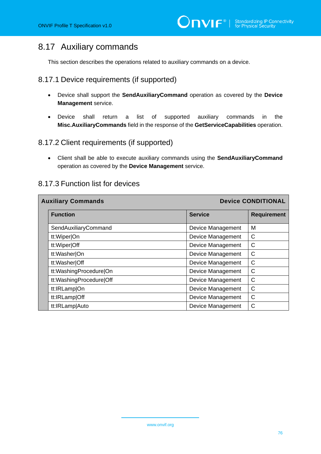## 8.17 Auxiliary commands

This section describes the operations related to auxiliary commands on a device.

### 8.17.1 Device requirements (if supported)

- Device shall support the **SendAuxiliaryCommand** operation as covered by the **Device Management** service.
- Device shall return a list of supported auxiliary commands in the **Misc.AuxiliaryCommands** field in the response of the **GetServiceCapabilities** operation.

### 8.17.2 Client requirements (if supported)

• Client shall be able to execute auxiliary commands using the **SendAuxiliaryCommand** operation as covered by the **Device Management** service.

| <b>Device CONDITIONAL</b><br><b>Auxiliary Commands</b> |                         |                          |                    |
|--------------------------------------------------------|-------------------------|--------------------------|--------------------|
|                                                        | <b>Function</b>         | <b>Service</b>           | <b>Requirement</b> |
|                                                        | SendAuxiliaryCommand    | Device Management        | M                  |
|                                                        | tt:Wiper On             | Device Management        | $\mathsf{C}$       |
|                                                        | tt:Wiper Off            | <b>Device Management</b> | C                  |
|                                                        | tt:Washer On            | Device Management        | C                  |
|                                                        | tt:Washer Off           | Device Management        | C                  |
|                                                        | tt:WashingProcedure On  | Device Management        | C                  |
|                                                        | tt:WashingProcedure Off | Device Management        | C                  |
|                                                        | tt:IRLamp On            | <b>Device Management</b> | C                  |
|                                                        | tt:IRLamp Off           | Device Management        | C                  |
|                                                        | tt:IRLamp Auto          | Device Management        | C                  |

#### 8.17.3 Function list for devices